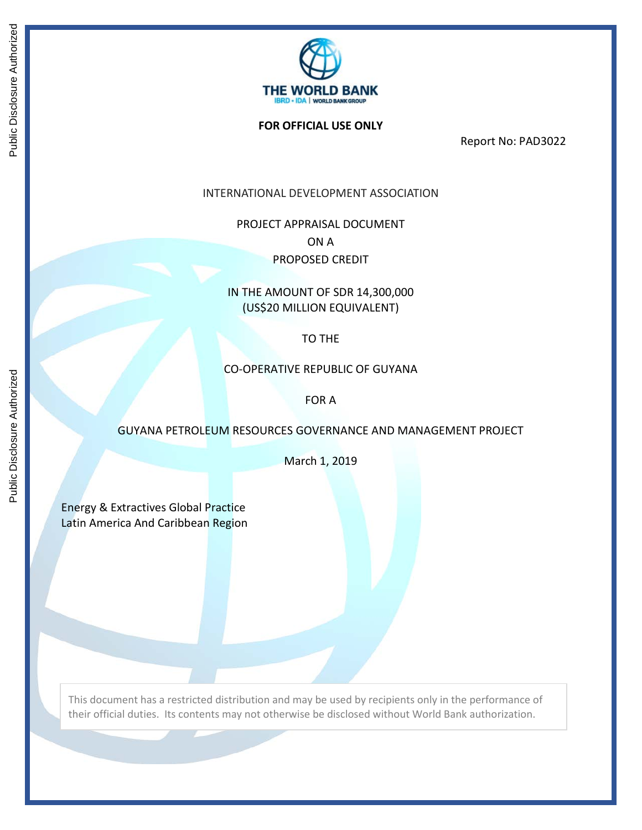

#### **FOR OFFICIAL USE ONLY**

Report No: PAD3022

INTERNATIONAL DEVELOPMENT ASSOCIATION

PROJECT APPRAISAL DOCUMENT ON A PROPOSED CREDIT

IN THE AMOUNT OF SDR 14,300,000 (US\$20 MILLION EQUIVALENT)

TO THE

CO-OPERATIVE REPUBLIC OF GUYANA

FOR A

## GUYANA PETROLEUM RESOURCES GOVERNANCE AND MANAGEMENT PROJECT

March 1, 2019

Energy & Extractives Global Practice Latin America And Caribbean Region

This document has a restricted distribution and may be used by recipients only in the performance of their official duties. Its contents may not otherwise be disclosed without World Bank authorization.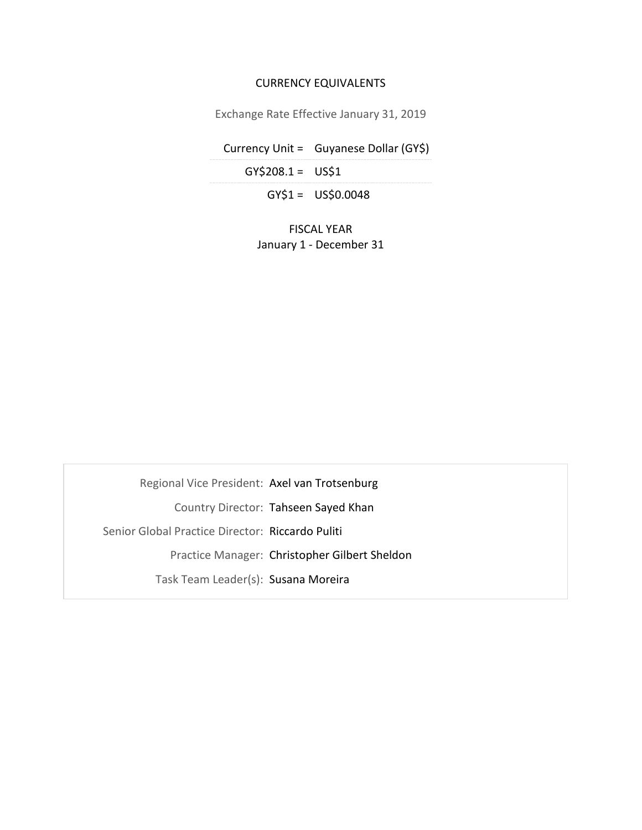## CURRENCY EQUIVALENTS

Exchange Rate Effective January 31, 2019

Currency Unit = Guyanese Dollar (GY\$)

 $GY$208.1 = US$1$ 

 $GY$1 = US$0.0048$ 

FISCAL YEAR January 1 - December 31

Regional Vice President: Axel van Trotsenburg Country Director: Tahseen Sayed Khan Senior Global Practice Director: Riccardo Puliti Practice Manager: Christopher Gilbert Sheldon Task Team Leader(s): Susana Moreira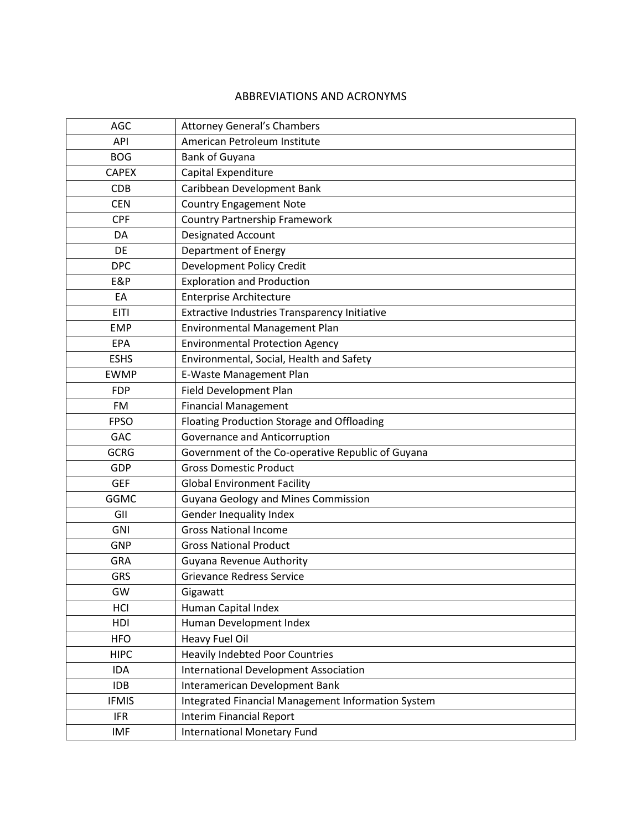## ABBREVIATIONS AND ACRONYMS

| <b>AGC</b>   | <b>Attorney General's Chambers</b>                   |
|--------------|------------------------------------------------------|
| <b>API</b>   | American Petroleum Institute                         |
| <b>BOG</b>   | Bank of Guyana                                       |
| <b>CAPEX</b> | Capital Expenditure                                  |
| <b>CDB</b>   | Caribbean Development Bank                           |
| <b>CEN</b>   | <b>Country Engagement Note</b>                       |
| <b>CPF</b>   | Country Partnership Framework                        |
| DA           | <b>Designated Account</b>                            |
| DE           | <b>Department of Energy</b>                          |
| <b>DPC</b>   | Development Policy Credit                            |
| E&P          | <b>Exploration and Production</b>                    |
| EA           | <b>Enterprise Architecture</b>                       |
| <b>EITI</b>  | <b>Extractive Industries Transparency Initiative</b> |
| <b>EMP</b>   | Environmental Management Plan                        |
| <b>EPA</b>   | <b>Environmental Protection Agency</b>               |
| <b>ESHS</b>  | Environmental, Social, Health and Safety             |
| <b>EWMP</b>  | E-Waste Management Plan                              |
| <b>FDP</b>   | Field Development Plan                               |
| <b>FM</b>    | <b>Financial Management</b>                          |
| <b>FPSO</b>  | Floating Production Storage and Offloading           |
| <b>GAC</b>   | Governance and Anticorruption                        |
| <b>GCRG</b>  | Government of the Co-operative Republic of Guyana    |
| GDP          | <b>Gross Domestic Product</b>                        |
| <b>GEF</b>   | <b>Global Environment Facility</b>                   |
| <b>GGMC</b>  | <b>Guyana Geology and Mines Commission</b>           |
| GII          | Gender Inequality Index                              |
| <b>GNI</b>   | <b>Gross National Income</b>                         |
| <b>GNP</b>   | <b>Gross National Product</b>                        |
| <b>GRA</b>   | Guyana Revenue Authority                             |
| <b>GRS</b>   | <b>Grievance Redress Service</b>                     |
| GW           | Gigawatt                                             |
| HCI          | Human Capital Index                                  |
| HDI          | Human Development Index                              |
| <b>HFO</b>   | Heavy Fuel Oil                                       |
| <b>HIPC</b>  | <b>Heavily Indebted Poor Countries</b>               |
| IDA          | International Development Association                |
| <b>IDB</b>   | Interamerican Development Bank                       |
| <b>IFMIS</b> | Integrated Financial Management Information System   |
| <b>IFR</b>   | <b>Interim Financial Report</b>                      |
| <b>IMF</b>   | International Monetary Fund                          |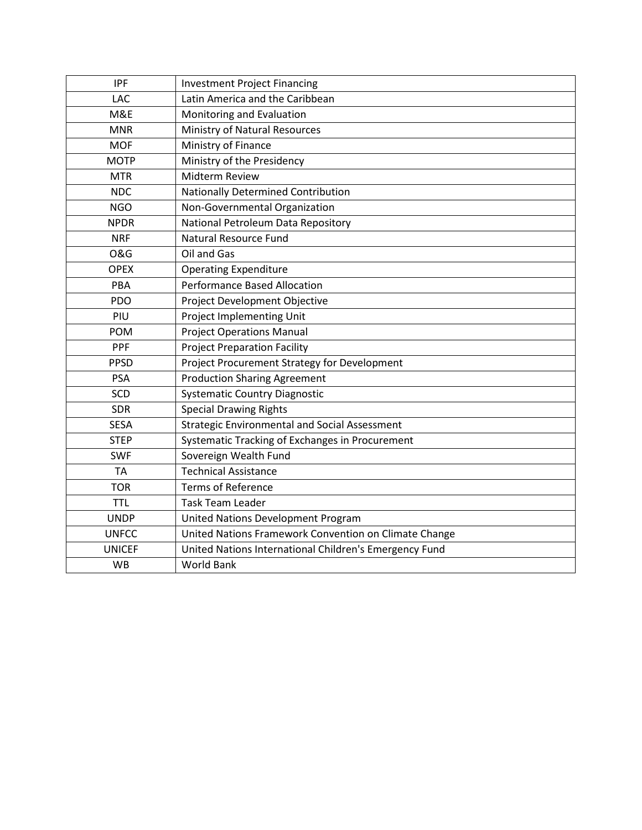| <b>IPF</b>     | <b>Investment Project Financing</b>                    |
|----------------|--------------------------------------------------------|
| LAC            | Latin America and the Caribbean                        |
| M&E            | Monitoring and Evaluation                              |
| <b>MNR</b>     | Ministry of Natural Resources                          |
| <b>MOF</b>     | Ministry of Finance                                    |
| <b>MOTP</b>    | Ministry of the Presidency                             |
| <b>MTR</b>     | Midterm Review                                         |
| <b>NDC</b>     | Nationally Determined Contribution                     |
| <b>NGO</b>     | Non-Governmental Organization                          |
| <b>NPDR</b>    | National Petroleum Data Repository                     |
| <b>NRF</b>     | <b>Natural Resource Fund</b>                           |
| <b>O&amp;G</b> | Oil and Gas                                            |
| <b>OPEX</b>    | <b>Operating Expenditure</b>                           |
| PBA            | <b>Performance Based Allocation</b>                    |
| <b>PDO</b>     | Project Development Objective                          |
| PIU            | Project Implementing Unit                              |
| <b>POM</b>     | <b>Project Operations Manual</b>                       |
| PPF            | <b>Project Preparation Facility</b>                    |
| PPSD           | Project Procurement Strategy for Development           |
| <b>PSA</b>     | <b>Production Sharing Agreement</b>                    |
| <b>SCD</b>     | <b>Systematic Country Diagnostic</b>                   |
| <b>SDR</b>     | <b>Special Drawing Rights</b>                          |
| <b>SESA</b>    | <b>Strategic Environmental and Social Assessment</b>   |
| <b>STEP</b>    | Systematic Tracking of Exchanges in Procurement        |
| <b>SWF</b>     | Sovereign Wealth Fund                                  |
| <b>TA</b>      | Technical Assistance                                   |
| <b>TOR</b>     | <b>Terms of Reference</b>                              |
| <b>TTL</b>     | <b>Task Team Leader</b>                                |
| <b>UNDP</b>    | United Nations Development Program                     |
| <b>UNFCC</b>   | United Nations Framework Convention on Climate Change  |
| <b>UNICEF</b>  | United Nations International Children's Emergency Fund |
| <b>WB</b>      | <b>World Bank</b>                                      |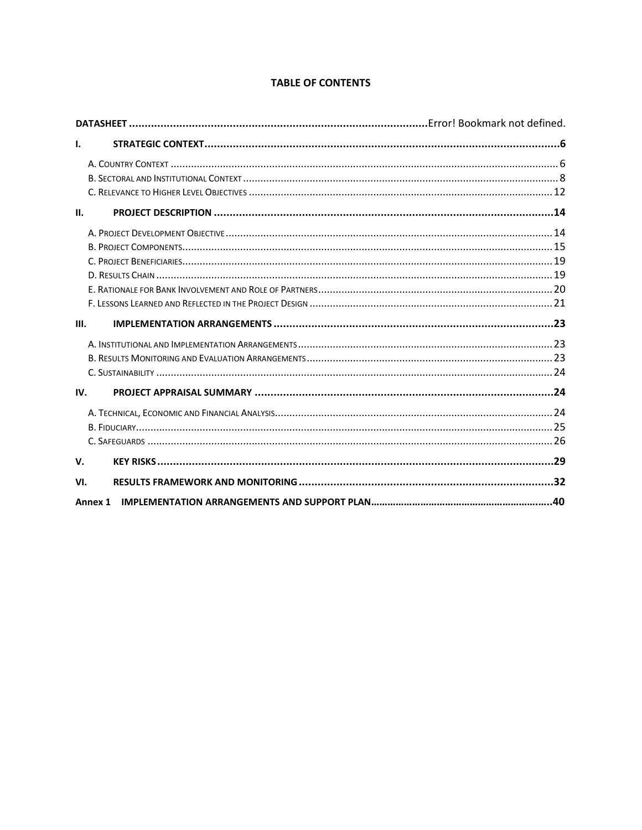# **TABLE OF CONTENTS**

| $\mathbf{L}$ |  |
|--------------|--|
|              |  |
|              |  |
|              |  |
| II.          |  |
|              |  |
|              |  |
|              |  |
|              |  |
|              |  |
|              |  |
| III.         |  |
|              |  |
|              |  |
|              |  |
| IV.          |  |
|              |  |
|              |  |
|              |  |
| V.           |  |
| VI.          |  |
|              |  |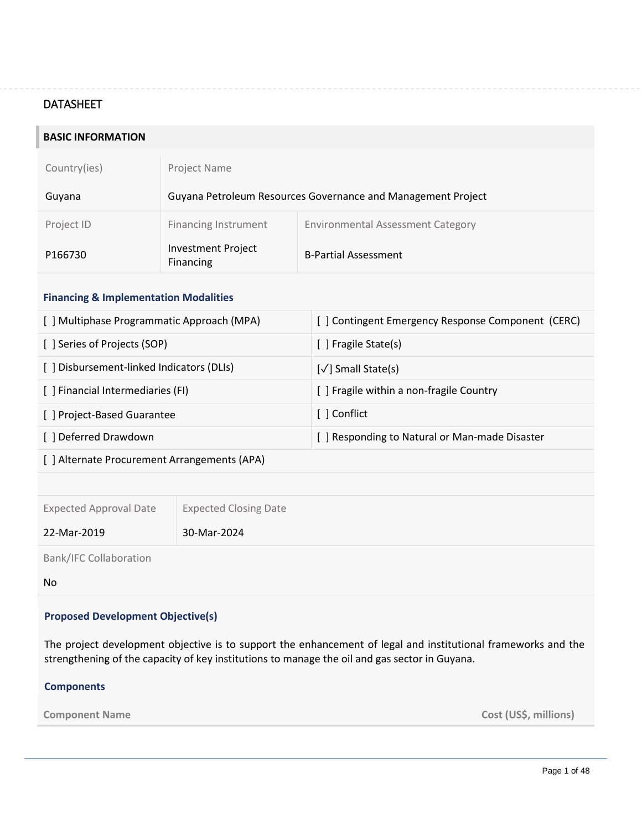# DATASHEET

| Project Name                           |                                                              |
|----------------------------------------|--------------------------------------------------------------|
|                                        | Guyana Petroleum Resources Governance and Management Project |
| <b>Financing Instrument</b>            | <b>Environmental Assessment Category</b>                     |
| <b>Investment Project</b><br>Financing | <b>B-Partial Assessment</b>                                  |
|                                        |                                                              |

## **Financing & Implementation Modalities**

| [ ] Multiphase Programmatic Approach (MPA) | [ ] Contingent Emergency Response Component (CERC) |
|--------------------------------------------|----------------------------------------------------|
| [ ] Series of Projects (SOP)               | [ ] Fragile State(s)                               |
| [ ] Disbursement-linked Indicators (DLIs)  | $[\sqrt{}]$ Small State(s)                         |
| [ ] Financial Intermediaries (FI)          | [ ] Fragile within a non-fragile Country           |
| [ ] Project-Based Guarantee                |                                                    |
| [ ] Deferred Drawdown                      | [ ] Responding to Natural or Man-made Disaster     |

[ ] Alternate Procurement Arrangements (APA)

Expected Approval Date | Expected Closing Date

22-Mar-2019 30-Mar-2024

Bank/IFC Collaboration

No

# **Proposed Development Objective(s)**

The project development objective is to support the enhancement of legal and institutional frameworks and the strengthening of the capacity of key institutions to manage the oil and gas sector in Guyana.

#### **Components**

**Component Name Cost (US\$, millions)**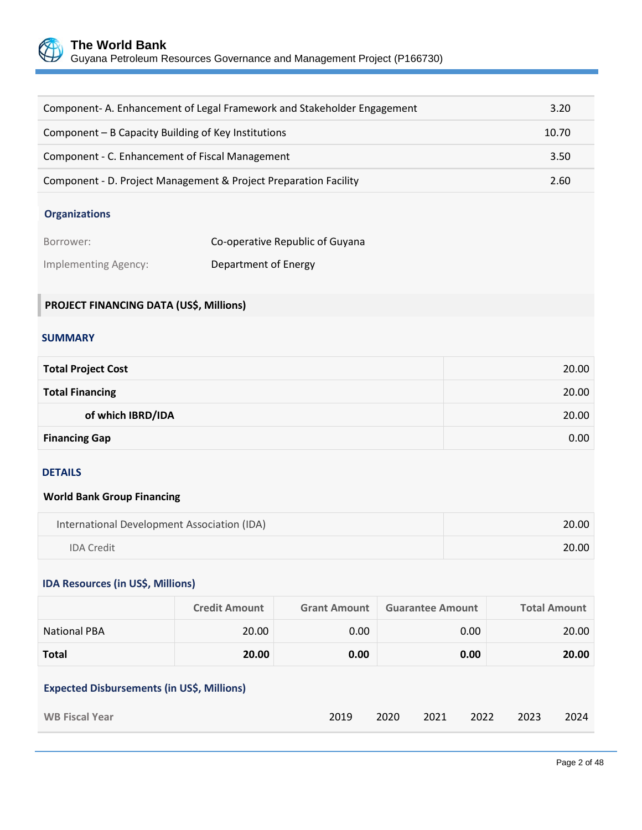

| Component-A. Enhancement of Legal Framework and Stakeholder Engagement | 3.20  |  |
|------------------------------------------------------------------------|-------|--|
| Component – B Capacity Building of Key Institutions                    | 10.70 |  |
| Component - C. Enhancement of Fiscal Management                        | 3.50  |  |
| Component - D. Project Management & Project Preparation Facility       | 2.60  |  |

## **Organizations**

| Borrower:            | Co-operative Republic of Guyana |
|----------------------|---------------------------------|
| Implementing Agency: | Department of Energy            |

# **PROJECT FINANCING DATA (US\$, Millions)**

#### **SUMMARY**

| <b>Total Project Cost</b> | 20.00 |
|---------------------------|-------|
| <b>Total Financing</b>    | 20.00 |
| of which IBRD/IDA         | 20.00 |
| <b>Financing Gap</b>      | 0.00  |

#### **DETAILS**

#### **World Bank Group Financing**

| International Development Association (IDA) | 20.00 |
|---------------------------------------------|-------|
| IDA Credit                                  | 20.00 |

# **IDA Resources (in US\$, Millions)**

|                     | <b>Credit Amount</b> | <b>Grant Amount</b> | <b>Guarantee Amount</b> | <b>Total Amount</b> |
|---------------------|----------------------|---------------------|-------------------------|---------------------|
| <b>National PBA</b> | 20.00                | 0.00                | 0.00                    | 20.00               |
| <b>Total</b>        | 20.00                | 0.00                | 0.00                    | 20.00               |
|                     |                      |                     |                         |                     |

# **Expected Disbursements (in US\$, Millions)**

| <b>WB Fiscal Year</b> | 2019 | 2020 | 2021 | 2022 | 2023 | 2024 |
|-----------------------|------|------|------|------|------|------|
|                       |      |      |      |      |      |      |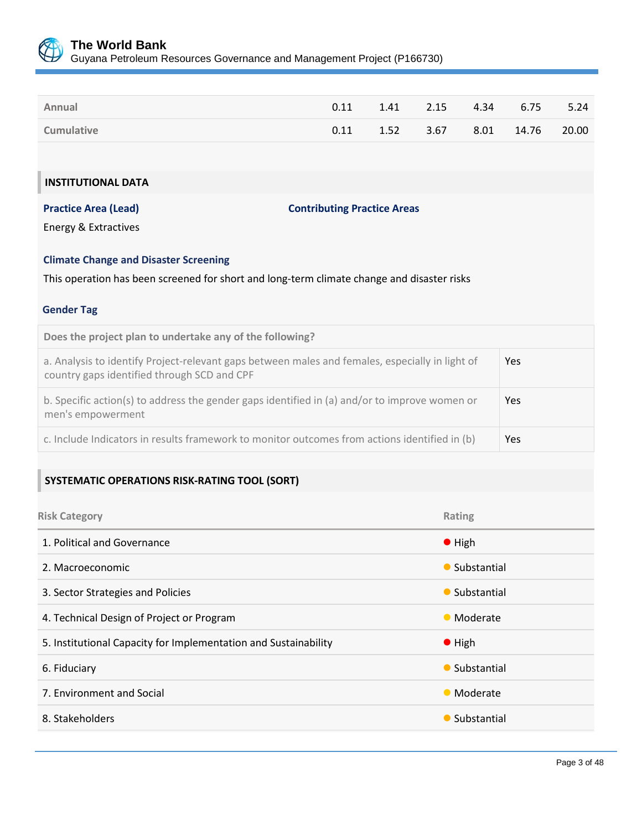

| Annual            | 0.11 |  | 1.41 2.15 4.34 6.75 5.24   |  |
|-------------------|------|--|----------------------------|--|
| <b>Cumulative</b> | 0.11 |  | 1.52 3.67 8.01 14.76 20.00 |  |

# **INSTITUTIONAL DATA**

#### **Practice Area (Lead) Contributing Practice Areas**

Energy & Extractives

#### **Climate Change and Disaster Screening**

This operation has been screened for short and long-term climate change and disaster risks

#### **Gender Tag**

| Does the project plan to undertake any of the following?                                                                                       |     |
|------------------------------------------------------------------------------------------------------------------------------------------------|-----|
| a. Analysis to identify Project-relevant gaps between males and females, especially in light of<br>country gaps identified through SCD and CPF | Yes |
| b. Specific action(s) to address the gender gaps identified in (a) and/or to improve women or<br>men's empowerment                             | Yes |
| c. Include Indicators in results framework to monitor outcomes from actions identified in (b)                                                  | Yes |

# **SYSTEMATIC OPERATIONS RISK-RATING TOOL (SORT)**

| <b>Risk Category</b>                                            | Rating         |
|-----------------------------------------------------------------|----------------|
| 1. Political and Governance                                     | $\bullet$ High |
| 2. Macroeconomic                                                | • Substantial  |
| 3. Sector Strategies and Policies                               | • Substantial  |
| 4. Technical Design of Project or Program                       | • Moderate     |
| 5. Institutional Capacity for Implementation and Sustainability | $\bullet$ High |
| 6. Fiduciary                                                    | • Substantial  |
| 7. Environment and Social                                       | • Moderate     |
| 8. Stakeholders                                                 | • Substantial  |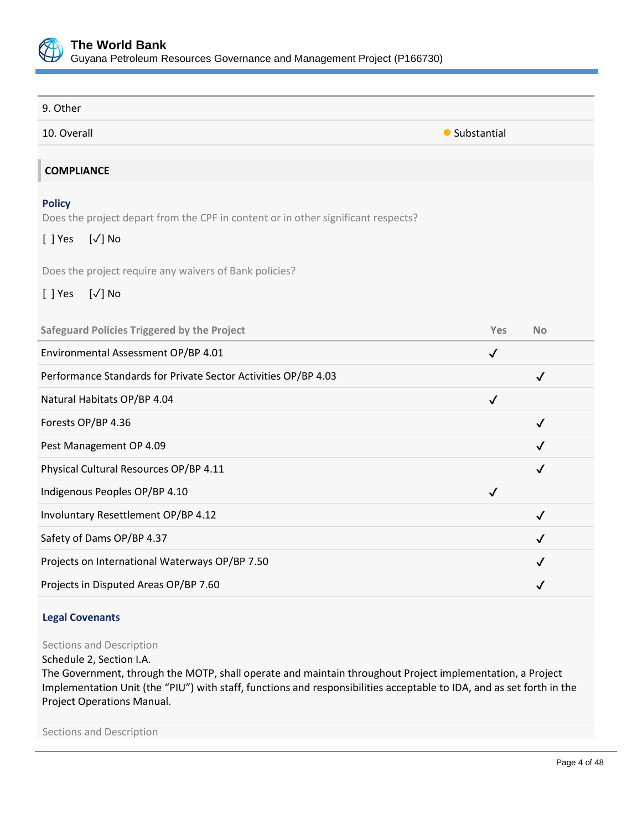

| 9. Other                                                                                                                                                                                    |               |              |
|---------------------------------------------------------------------------------------------------------------------------------------------------------------------------------------------|---------------|--------------|
| 10. Overall                                                                                                                                                                                 | • Substantial |              |
|                                                                                                                                                                                             |               |              |
| <b>COMPLIANCE</b>                                                                                                                                                                           |               |              |
| <b>Policy</b><br>Does the project depart from the CPF in content or in other significant respects?<br>$[\sqrt{}]$ No<br>$[ ]$ Yes<br>Does the project require any waivers of Bank policies? |               |              |
| $[\sqrt{}]$ No<br>$[ ]$ Yes                                                                                                                                                                 |               |              |
| <b>Safeguard Policies Triggered by the Project</b>                                                                                                                                          | Yes           | <b>No</b>    |
| Environmental Assessment OP/BP 4.01                                                                                                                                                         | $\checkmark$  |              |
| Performance Standards for Private Sector Activities OP/BP 4.03                                                                                                                              |               | $\checkmark$ |
| Natural Habitats OP/BP 4.04                                                                                                                                                                 | $\checkmark$  |              |
| Forests OP/BP 4.36                                                                                                                                                                          |               | $\checkmark$ |
| Pest Management OP 4.09                                                                                                                                                                     |               | $\checkmark$ |
| Physical Cultural Resources OP/BP 4.11                                                                                                                                                      |               | $\checkmark$ |
| Indigenous Peoples OP/BP 4.10                                                                                                                                                               | $\checkmark$  |              |
| Involuntary Resettlement OP/BP 4.12                                                                                                                                                         |               | $\checkmark$ |
| Safety of Dams OP/BP 4.37                                                                                                                                                                   |               | $\checkmark$ |
| Projects on International Waterways OP/BP 7.50                                                                                                                                              |               | √            |
| Projects in Disputed Areas OP/BP 7.60                                                                                                                                                       |               | ✓            |

## **Legal Covenants**

#### Sections and Description

Schedule 2, Section I.A.

The Government, through the MOTP, shall operate and maintain throughout Project implementation, a Project Implementation Unit (the "PIU") with staff, functions and responsibilities acceptable to IDA, and as set forth in the Project Operations Manual.

Sections and Description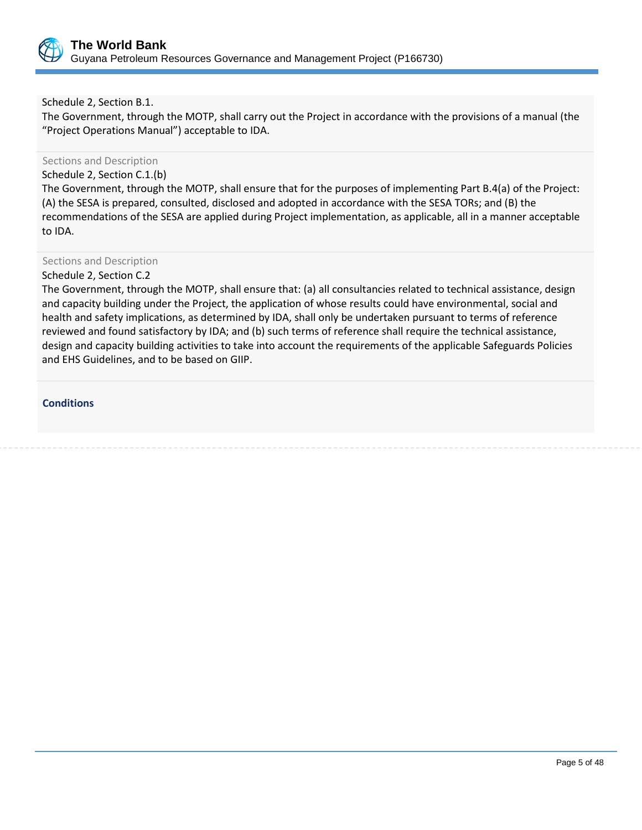

Schedule 2, Section B.1.

The Government, through the MOTP, shall carry out the Project in accordance with the provisions of a manual (the "Project Operations Manual") acceptable to IDA.

#### Sections and Description

Schedule 2, Section C.1.(b)

The Government, through the MOTP, shall ensure that for the purposes of implementing Part B.4(a) of the Project: (A) the SESA is prepared, consulted, disclosed and adopted in accordance with the SESA TORs; and (B) the recommendations of the SESA are applied during Project implementation, as applicable, all in a manner acceptable to IDA.

#### Sections and Description

Schedule 2, Section C.2

The Government, through the MOTP, shall ensure that: (a) all consultancies related to technical assistance, design and capacity building under the Project, the application of whose results could have environmental, social and health and safety implications, as determined by IDA, shall only be undertaken pursuant to terms of reference reviewed and found satisfactory by IDA; and (b) such terms of reference shall require the technical assistance, design and capacity building activities to take into account the requirements of the applicable Safeguards Policies and EHS Guidelines, and to be based on GIIP.

**Conditions**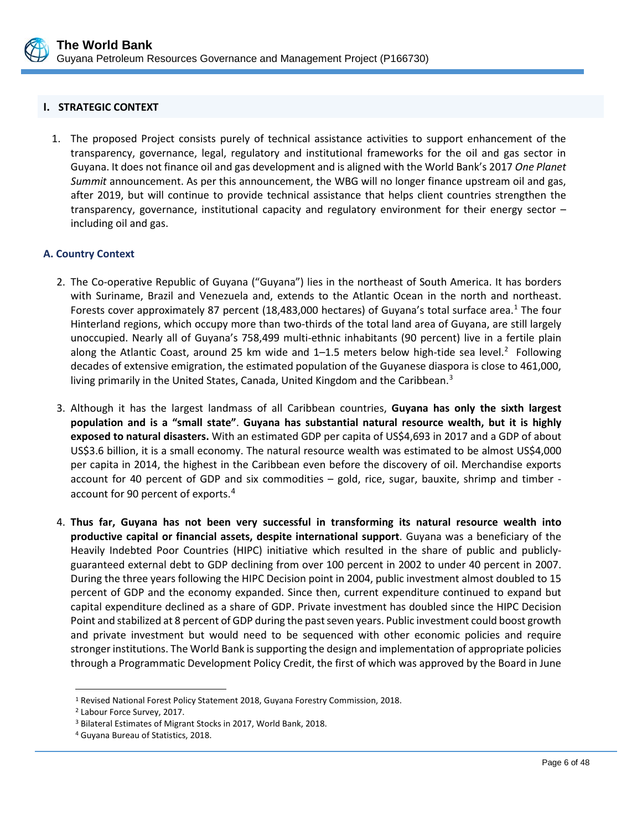# <span id="page-10-0"></span>**I. STRATEGIC CONTEXT**

1. The proposed Project consists purely of technical assistance activities to support enhancement of the transparency, governance, legal, regulatory and institutional frameworks for the oil and gas sector in Guyana. It does not finance oil and gas development and is aligned with the World Bank's 2017 *One Planet Summit* announcement. As per this announcement, the WBG will no longer finance upstream oil and gas, after 2019, but will continue to provide technical assistance that helps client countries strengthen the transparency, governance, institutional capacity and regulatory environment for their energy sector – including oil and gas.

## <span id="page-10-1"></span>**A. Country Context**

- 2. The Co-operative Republic of Guyana ("Guyana") lies in the northeast of South America. It has borders with Suriname, Brazil and Venezuela and, extends to the Atlantic Ocean in the north and northeast. Forests cover approximately 87 percent  $(18,483,000$  hectares) of Guyana's total surface area.<sup>1</sup> The four Hinterland regions, which occupy more than two-thirds of the total land area of Guyana, are still largely unoccupied. Nearly all of Guyana's 758,499 multi-ethnic inhabitants (90 percent) live in a fertile plain along the Atlantic Coast, around [2](#page-10-3)5 km wide and 1-1.5 meters below high-tide sea level.<sup>2</sup> Following decades of extensive emigration, the estimated population of the Guyanese diaspora is close to 461,000, living primarily in the United States, Canada, United Kingdom and the Caribbean.<sup>[3](#page-10-4)</sup>
- 3. Although it has the largest landmass of all Caribbean countries, **Guyana has only the sixth largest population and is a "small state"**. **Guyana has substantial natural resource wealth, but it is highly exposed to natural disasters.** With an estimated GDP per capita of US\$4,693 in 2017 and a GDP of about US\$3.6 billion, it is a small economy. The natural resource wealth was estimated to be almost US\$4,000 per capita in 2014, the highest in the Caribbean even before the discovery of oil. Merchandise exports account for 40 percent of GDP and six commodities – gold, rice, sugar, bauxite, shrimp and timber - account for 90 percent of exports.<sup>[4](#page-10-5)</sup>
- 4. **Thus far, Guyana has not been very successful in transforming its natural resource wealth into productive capital or financial assets, despite international support**. Guyana was a beneficiary of the Heavily Indebted Poor Countries (HIPC) initiative which resulted in the share of public and publiclyguaranteed external debt to GDP declining from over 100 percent in 2002 to under 40 percent in 2007. During the three years following the HIPC Decision point in 2004, public investment almost doubled to 15 percent of GDP and the economy expanded. Since then, current expenditure continued to expand but capital expenditure declined as a share of GDP. Private investment has doubled since the HIPC Decision Point and stabilized at 8 percent of GDP during the past seven years. Public investment could boost growth and private investment but would need to be sequenced with other economic policies and require stronger institutions. The World Bank is supporting the design and implementation of appropriate policies through a Programmatic Development Policy Credit, the first of which was approved by the Board in June

<span id="page-10-2"></span> $\overline{a}$ <sup>1</sup> Revised National Forest Policy Statement 2018, Guyana Forestry Commission, 2018.

<span id="page-10-3"></span><sup>2</sup> Labour Force Survey, 2017.

<span id="page-10-4"></span><sup>3</sup> Bilateral Estimates of Migrant Stocks in 2017, World Bank, 2018.

<span id="page-10-5"></span><sup>4</sup> Guyana Bureau of Statistics, 2018.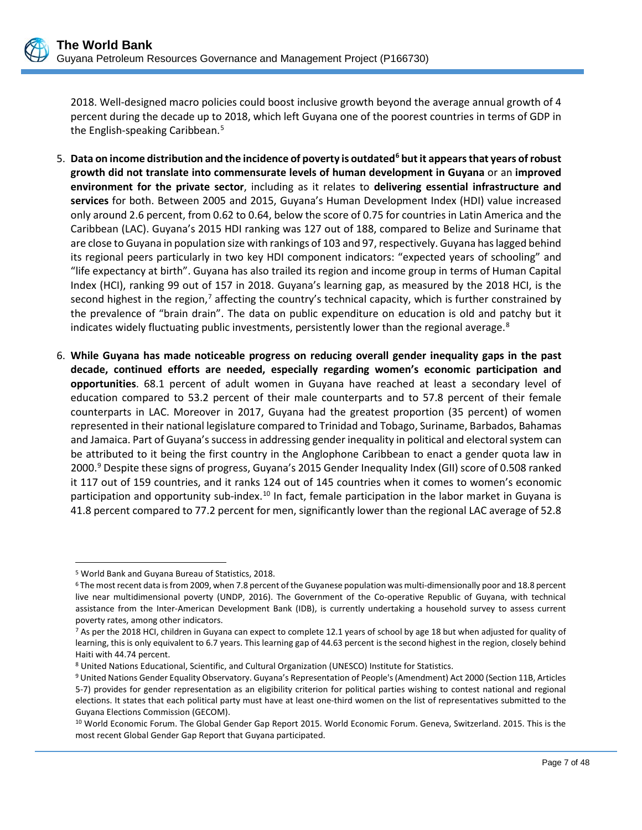2018. Well-designed macro policies could boost inclusive growth beyond the average annual growth of 4 percent during the decade up to 2018, which left Guyana one of the poorest countries in terms of GDP in the English-speaking Caribbean. [5](#page-11-0)

- 5. **Data on income distribution and the incidence of poverty is outdated[6](#page-11-1) but it appears that years of robust growth did not translate into commensurate levels of human development in Guyana** or an **improved environment for the private sector**, including as it relates to **delivering essential infrastructure and services** for both. Between 2005 and 2015, Guyana's Human Development Index (HDI) value increased only around 2.6 percent, from 0.62 to 0.64, below the score of 0.75 for countries in Latin America and the Caribbean (LAC). Guyana's 2015 HDI ranking was 127 out of 188, compared to Belize and Suriname that are close to Guyana in population size with rankings of 103 and 97, respectively. Guyana has lagged behind its regional peers particularly in two key HDI component indicators: "expected years of schooling" and "life expectancy at birth". Guyana has also trailed its region and income group in terms of Human Capital Index (HCI), ranking 99 out of 157 in 2018. Guyana's learning gap, as measured by the 2018 HCI, is the second highest in the region,<sup>[7](#page-11-2)</sup> affecting the country's technical capacity, which is further constrained by the prevalence of "brain drain". The data on public expenditure on education is old and patchy but it indicates widely fluctuating public investments, persistently lower than the regional average.<sup>[8](#page-11-3)</sup>
- 6. **While Guyana has made noticeable progress on reducing overall gender inequality gaps in the past decade, continued efforts are needed, especially regarding women's economic participation and opportunities**. 68.1 percent of adult women in Guyana have reached at least a secondary level of education compared to 53.2 percent of their male counterparts and to 57.8 percent of their female counterparts in LAC. Moreover in 2017, Guyana had the greatest proportion (35 percent) of women represented in their national legislature compared to Trinidad and Tobago, Suriname, Barbados, Bahamas and Jamaica. Part of Guyana's success in addressing gender inequality in political and electoral system can be attributed to it being the first country in the Anglophone Caribbean to enact a gender quota law in 2000.<sup>[9](#page-11-4)</sup> Despite these signs of progress, Guyana's 2015 Gender Inequality Index (GII) score of 0.508 ranked it 117 out of 159 countries, and it ranks 124 out of 145 countries when it comes to women's economic participation and opportunity sub-index.<sup>[10](#page-11-5)</sup> In fact, female participation in the labor market in Guyana is 41.8 percent compared to 77.2 percent for men, significantly lower than the regional LAC average of 52.8

<span id="page-11-0"></span> $\overline{a}$ <sup>5</sup> World Bank and Guyana Bureau of Statistics, 2018.

<span id="page-11-1"></span><sup>6</sup> The most recent data is from 2009, when 7.8 percent of the Guyanese population was multi-dimensionally poor and 18.8 percent live near multidimensional poverty (UNDP, 2016). The Government of the Co-operative Republic of Guyana, with technical assistance from the Inter-American Development Bank (IDB), is currently undertaking a household survey to assess current poverty rates, among other indicators.

<span id="page-11-2"></span><sup>7</sup> As per the 2018 HCI, children in Guyana can expect to complete 12.1 years of school by age 18 but when adjusted for quality of learning, this is only equivalent to 6.7 years. This learning gap of 44.63 percent is the second highest in the region, closely behind Haiti with 44.74 percent.

<span id="page-11-3"></span><sup>8</sup> United Nations Educational, Scientific, and Cultural Organization (UNESCO) Institute for Statistics.

<span id="page-11-4"></span><sup>9</sup> United Nations Gender Equality Observatory. Guyana's Representation of People's (Amendment) Act 2000 (Section 11B, Articles 5-7) provides for gender representation as an eligibility criterion for political parties wishing to contest national and regional elections. It states that each political party must have at least one-third women on the list of representatives submitted to the Guyana Elections Commission (GECOM).

<span id="page-11-5"></span><sup>10</sup> World Economic Forum. The Global Gender Gap Report 2015. World Economic Forum. Geneva, Switzerland. 2015. This is the most recent Global Gender Gap Report that Guyana participated.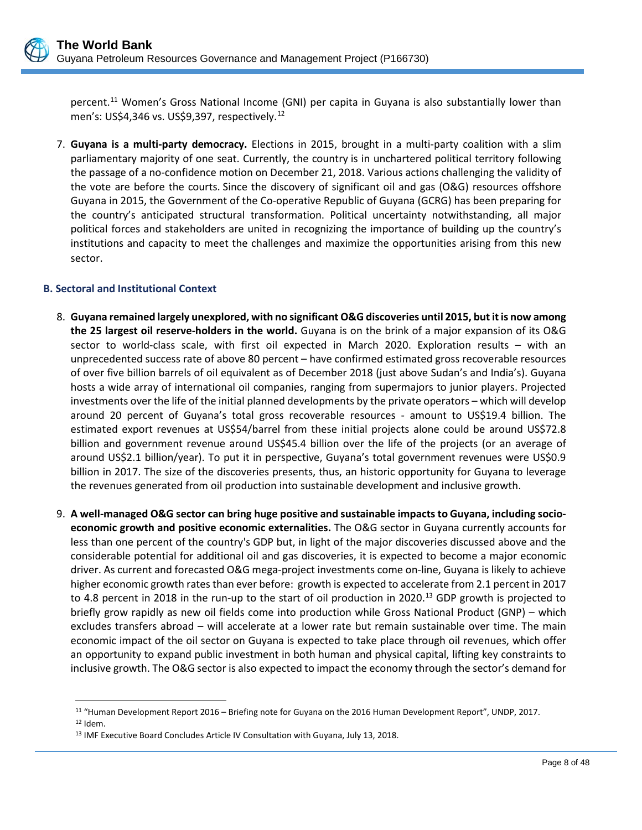percent.<sup>[11](#page-12-1)</sup> Women's Gross National Income (GNI) per capita in Guyana is also substantially lower than men's: US\$4,346 vs. US\$9,397, respectively. [12](#page-12-2)

7. **Guyana is a multi-party democracy.** Elections in 2015, brought in a multi-party coalition with a slim parliamentary majority of one seat. Currently, the country is in unchartered political territory following the passage of a no-confidence motion on December 21, 2018. Various actions challenging the validity of the vote are before the courts. Since the discovery of significant oil and gas (O&G) resources offshore Guyana in 2015, the Government of the Co-operative Republic of Guyana (GCRG) has been preparing for the country's anticipated structural transformation. Political uncertainty notwithstanding, all major political forces and stakeholders are united in recognizing the importance of building up the country's institutions and capacity to meet the challenges and maximize the opportunities arising from this new sector.

## <span id="page-12-0"></span>**B. Sectoral and Institutional Context**

 $\overline{a}$ 

- 8. **Guyana remained largely unexplored, with no significant O&G discoveries until 2015, but it is now among the 25 largest oil reserve-holders in the world.** Guyana is on the brink of a major expansion of its O&G sector to world-class scale, with first oil expected in March 2020. Exploration results – with an unprecedented success rate of above 80 percent – have confirmed estimated gross recoverable resources of over five billion barrels of oil equivalent as of December 2018 (just above Sudan's and India's). Guyana hosts a wide array of international oil companies, ranging from supermajors to junior players. Projected investments over the life of the initial planned developments by the private operators – which will develop around 20 percent of Guyana's total gross recoverable resources - amount to US\$19.4 billion. The estimated export revenues at US\$54/barrel from these initial projects alone could be around US\$72.8 billion and government revenue around US\$45.4 billion over the life of the projects (or an average of around US\$2.1 billion/year). To put it in perspective, Guyana's total government revenues were US\$0.9 billion in 2017. The size of the discoveries presents, thus, an historic opportunity for Guyana to leverage the revenues generated from oil production into sustainable development and inclusive growth.
- 9. **A well-managed O&G sector can bring huge positive and sustainable impacts to Guyana, including socioeconomic growth and positive economic externalities.** The O&G sector in Guyana currently accounts for less than one percent of the country's GDP but, in light of the major discoveries discussed above and the considerable potential for additional oil and gas discoveries, it is expected to become a major economic driver. As current and forecasted O&G mega-project investments come on-line, Guyana is likely to achieve higher economic growth rates than ever before: growth is expected to accelerate from 2.1 percent in 2017 to 4.8 percent in 2018 in the run-up to the start of oil production in 2020.<sup>[13](#page-12-3)</sup> GDP growth is projected to briefly grow rapidly as new oil fields come into production while Gross National Product (GNP) – which excludes transfers abroad – will accelerate at a lower rate but remain sustainable over time. The main economic impact of the oil sector on Guyana is expected to take place through oil revenues, which offer an opportunity to expand public investment in both human and physical capital, lifting key constraints to inclusive growth. The O&G sector is also expected to impact the economy through the sector's demand for

<span id="page-12-1"></span><sup>11</sup> "Human Development Report 2016 – Briefing note for Guyana on the 2016 Human Development Report", UNDP, 2017. <sup>12</sup> Idem.

<span id="page-12-3"></span><span id="page-12-2"></span><sup>13</sup> IMF Executive Board Concludes Article IV Consultation with Guyana, July 13, 2018.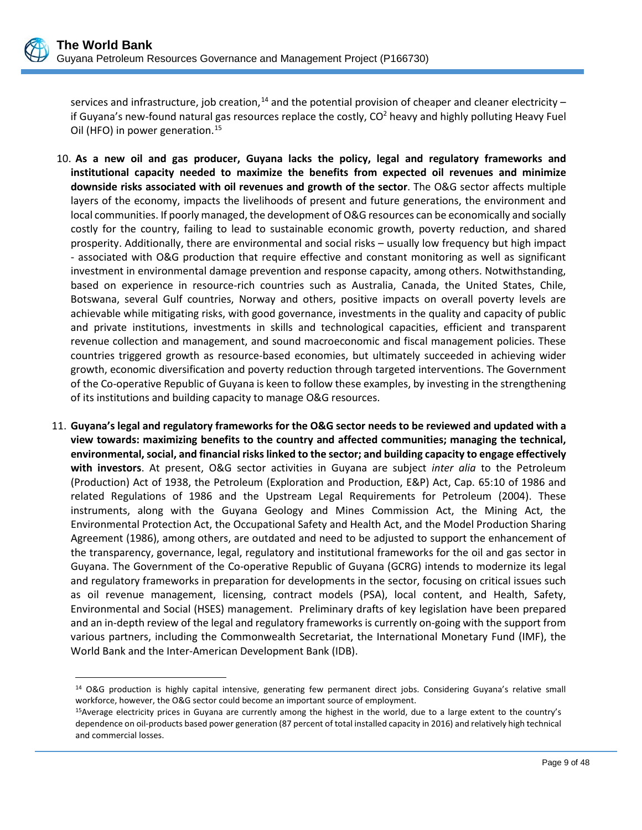services and infrastructure, job creation,<sup>[14](#page-13-0)</sup> and the potential provision of cheaper and cleaner electricity – if Guyana's new-found natural gas resources replace the costly,  $CO<sup>2</sup>$  heavy and highly polluting Heavy Fuel Oil (HFO) in power generation.<sup>[15](#page-13-1)</sup>

- 10. **As a new oil and gas producer, Guyana lacks the policy, legal and regulatory frameworks and institutional capacity needed to maximize the benefits from expected oil revenues and minimize downside risks associated with oil revenues and growth of the sector**. The O&G sector affects multiple layers of the economy, impacts the livelihoods of present and future generations, the environment and local communities. If poorly managed, the development of O&G resources can be economically and socially costly for the country, failing to lead to sustainable economic growth, poverty reduction, and shared prosperity. Additionally, there are environmental and social risks – usually low frequency but high impact - associated with O&G production that require effective and constant monitoring as well as significant investment in environmental damage prevention and response capacity, among others. Notwithstanding, based on experience in resource-rich countries such as Australia, Canada, the United States, Chile, Botswana, several Gulf countries, Norway and others, positive impacts on overall poverty levels are achievable while mitigating risks, with good governance, investments in the quality and capacity of public and private institutions, investments in skills and technological capacities, efficient and transparent revenue collection and management, and sound macroeconomic and fiscal management policies. These countries triggered growth as resource-based economies, but ultimately succeeded in achieving wider growth, economic diversification and poverty reduction through targeted interventions. The Government of the Co-operative Republic of Guyana is keen to follow these examples, by investing in the strengthening of its institutions and building capacity to manage O&G resources.
- 11. **Guyana's legal and regulatory frameworks for the O&G sector needs to be reviewed and updated with a view towards: maximizing benefits to the country and affected communities; managing the technical, environmental, social, and financial risks linked to the sector; and building capacity to engage effectively with investors**. At present, O&G sector activities in Guyana are subject *inter alia* to the Petroleum (Production) Act of 1938, the Petroleum (Exploration and Production, E&P) Act, Cap. 65:10 of 1986 and related Regulations of 1986 and the Upstream Legal Requirements for Petroleum (2004). These instruments, along with the Guyana Geology and Mines Commission Act, the Mining Act, the Environmental Protection Act, the Occupational Safety and Health Act, and the Model Production Sharing Agreement (1986), among others, are outdated and need to be adjusted to support the enhancement of the transparency, governance, legal, regulatory and institutional frameworks for the oil and gas sector in Guyana. The Government of the Co-operative Republic of Guyana (GCRG) intends to modernize its legal and regulatory frameworks in preparation for developments in the sector, focusing on critical issues such as oil revenue management, licensing, contract models (PSA), local content, and Health, Safety, Environmental and Social (HSES) management. Preliminary drafts of key legislation have been prepared and an in-depth review of the legal and regulatory frameworks is currently on-going with the support from various partners, including the Commonwealth Secretariat, the International Monetary Fund (IMF), the World Bank and the Inter-American Development Bank (IDB).

 $\overline{a}$ 

<span id="page-13-0"></span><sup>14</sup> O&G production is highly capital intensive, generating few permanent direct jobs. Considering Guyana's relative small workforce, however, the O&G sector could become an important source of employment.

<span id="page-13-1"></span><sup>15</sup>Average electricity prices in Guyana are currently among the highest in the world, due to a large extent to the country's dependence on oil-products based power generation (87 percent of total installed capacity in 2016) and relatively high technical and commercial losses.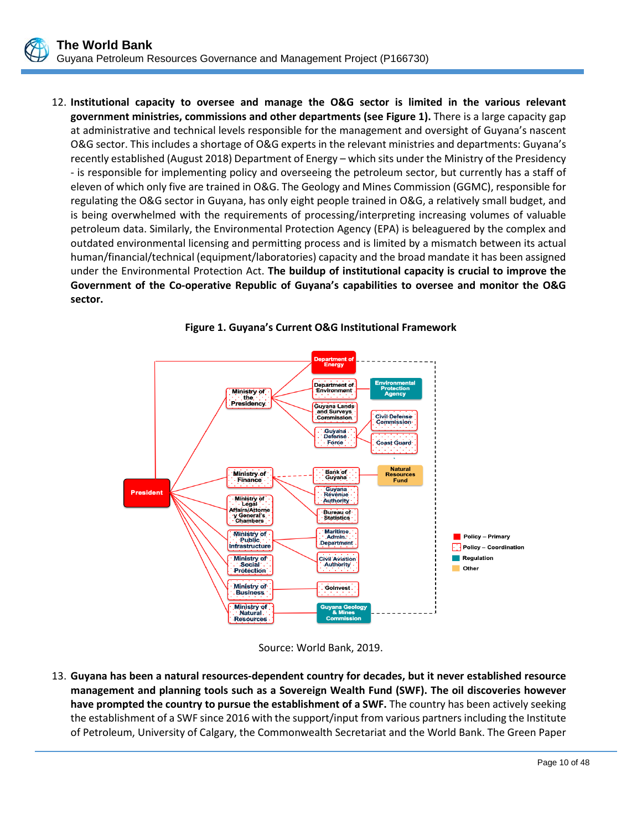12. **Institutional capacity to oversee and manage the O&G sector is limited in the various relevant government ministries, commissions and other departments (see Figure 1).** There is a large capacity gap at administrative and technical levels responsible for the management and oversight of Guyana's nascent O&G sector. This includes a shortage of O&G experts in the relevant ministries and departments: Guyana's recently established (August 2018) Department of Energy – which sits under the Ministry of the Presidency - is responsible for implementing policy and overseeing the petroleum sector, but currently has a staff of eleven of which only five are trained in O&G. The Geology and Mines Commission (GGMC), responsible for regulating the O&G sector in Guyana, has only eight people trained in O&G, a relatively small budget, and is being overwhelmed with the requirements of processing/interpreting increasing volumes of valuable petroleum data. Similarly, the Environmental Protection Agency (EPA) is beleaguered by the complex and outdated environmental licensing and permitting process and is limited by a mismatch between its actual human/financial/technical (equipment/laboratories) capacity and the broad mandate it has been assigned under the Environmental Protection Act. **The buildup of institutional capacity is crucial to improve the Government of the Co-operative Republic of Guyana's capabilities to oversee and monitor the O&G sector.** 



**Figure 1. Guyana's Current O&G Institutional Framework**

Source: World Bank, 2019.

13. **Guyana has been a natural resources-dependent country for decades, but it never established resource management and planning tools such as a Sovereign Wealth Fund (SWF). The oil discoveries however have prompted the country to pursue the establishment of a SWF.** The country has been actively seeking the establishment of a SWF since 2016 with the support/input from various partners including the Institute of Petroleum, University of Calgary, the Commonwealth Secretariat and the World Bank. The Green Paper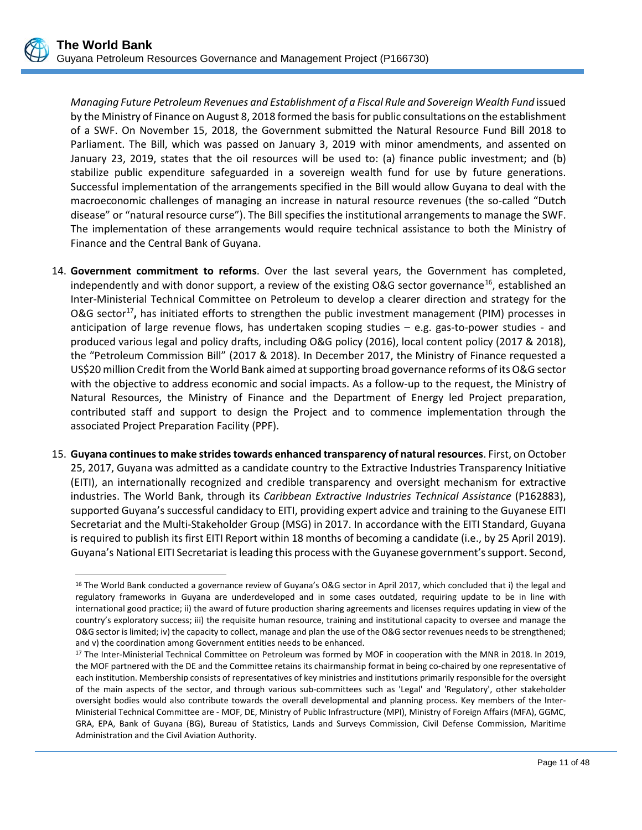*Managing Future Petroleum Revenues and Establishment of a Fiscal Rule and Sovereign Wealth Fund* issued by the Ministry of Finance on August 8, 2018 formed the basis for public consultations on the establishment of a SWF. On November 15, 2018, the Government submitted the Natural Resource Fund Bill 2018 to Parliament. The Bill, which was passed on January 3, 2019 with minor amendments, and assented on January 23, 2019, states that the oil resources will be used to: (a) finance public investment; and (b) stabilize public expenditure safeguarded in a sovereign wealth fund for use by future generations. Successful implementation of the arrangements specified in the Bill would allow Guyana to deal with the macroeconomic challenges of managing an increase in natural resource revenues (the so-called "Dutch disease" or "natural resource curse"). The Bill specifies the institutional arrangements to manage the SWF. The implementation of these arrangements would require technical assistance to both the Ministry of Finance and the Central Bank of Guyana.

- 14. **Government commitment to reforms**. Over the last several years, the Government has completed, independently and with donor support, a review of the existing O&G sector governance<sup>16</sup>, established an Inter-Ministerial Technical Committee on Petroleum to develop a clearer direction and strategy for the O&G sector<sup>[17](#page-15-1)</sup>, has initiated efforts to strengthen the public investment management (PIM) processes in anticipation of large revenue flows, has undertaken scoping studies – e.g. gas-to-power studies - and produced various legal and policy drafts, including O&G policy (2016), local content policy (2017 & 2018), the "Petroleum Commission Bill" (2017 & 2018). In December 2017, the Ministry of Finance requested a US\$20 million Credit from the World Bank aimed at supporting broad governance reforms of its O&G sector with the objective to address economic and social impacts. As a follow-up to the request, the Ministry of Natural Resources, the Ministry of Finance and the Department of Energy led Project preparation, contributed staff and support to design the Project and to commence implementation through the associated Project Preparation Facility (PPF).
- 15. **Guyana continuesto make strides towards enhanced transparency of natural resources**. First, on October 25, 2017, Guyana was admitted as a candidate country to the Extractive Industries Transparency Initiative (EITI), an internationally recognized and credible transparency and oversight mechanism for extractive industries. The World Bank, through its *Caribbean Extractive Industries Technical Assistance* (P162883), supported Guyana's successful candidacy to EITI, providing expert advice and training to the Guyanese EITI Secretariat and the Multi-Stakeholder Group (MSG) in 2017. In accordance with the EITI Standard, Guyana is required to publish its first EITI Report within 18 months of becoming a candidate (i.e., by 25 April 2019). Guyana's National EITI Secretariat is leading this process with the Guyanese government's support. Second,

 $\overline{a}$ 

<span id="page-15-0"></span><sup>&</sup>lt;sup>16</sup> The World Bank conducted a governance review of Guyana's O&G sector in April 2017, which concluded that i) the legal and regulatory frameworks in Guyana are underdeveloped and in some cases outdated, requiring update to be in line with international good practice; ii) the award of future production sharing agreements and licenses requires updating in view of the country's exploratory success; iii) the requisite human resource, training and institutional capacity to oversee and manage the O&G sector is limited; iv) the capacity to collect, manage and plan the use of the O&G sector revenues needs to be strengthened; and v) the coordination among Government entities needs to be enhanced.

<span id="page-15-1"></span><sup>&</sup>lt;sup>17</sup> The Inter-Ministerial Technical Committee on Petroleum was formed by MOF in cooperation with the MNR in 2018. In 2019, the MOF partnered with the DE and the Committee retains its chairmanship format in being co-chaired by one representative of each institution. Membership consists of representatives of key ministries and institutions primarily responsible for the oversight of the main aspects of the sector, and through various sub-committees such as 'Legal' and 'Regulatory', other stakeholder oversight bodies would also contribute towards the overall developmental and planning process. Key members of the Inter-Ministerial Technical Committee are - MOF, DE, Ministry of Public Infrastructure (MPI), Ministry of Foreign Affairs (MFA), GGMC, GRA, EPA, Bank of Guyana (BG), Bureau of Statistics, Lands and Surveys Commission, Civil Defense Commission, Maritime Administration and the Civil Aviation Authority.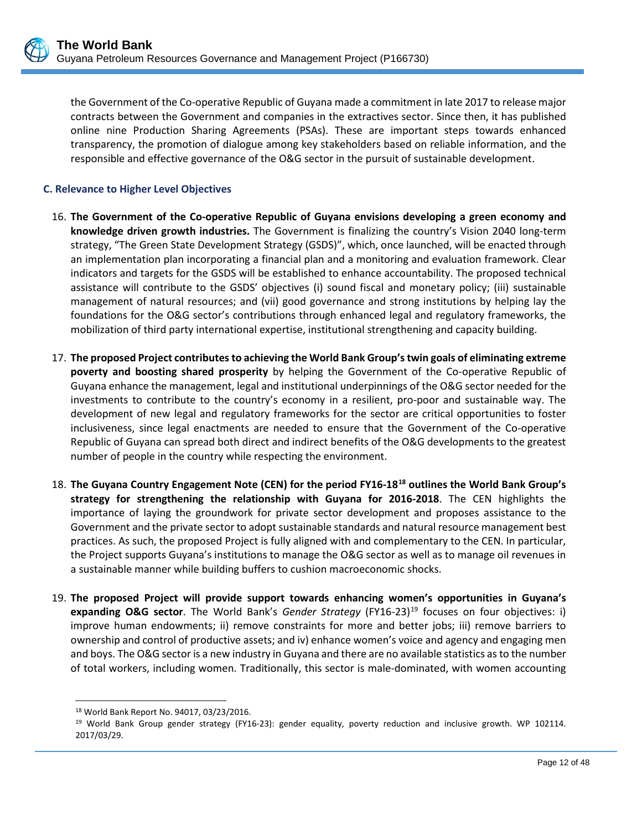the Government of the Co-operative Republic of Guyana made a commitment in late 2017 to release major contracts between the Government and companies in the extractives sector. Since then, it has published online nine Production Sharing Agreements (PSAs). These are important steps towards enhanced transparency, the promotion of dialogue among key stakeholders based on reliable information, and the responsible and effective governance of the O&G sector in the pursuit of sustainable development.

# <span id="page-16-0"></span>**C. Relevance to Higher Level Objectives**

- 16. **The Government of the Co-operative Republic of Guyana envisions developing a green economy and knowledge driven growth industries.** The Government is finalizing the country's Vision 2040 long-term strategy, "The Green State Development Strategy (GSDS)", which, once launched, will be enacted through an implementation plan incorporating a financial plan and a monitoring and evaluation framework. Clear indicators and targets for the GSDS will be established to enhance accountability. The proposed technical assistance will contribute to the GSDS' objectives (i) sound fiscal and monetary policy; (iii) sustainable management of natural resources; and (vii) good governance and strong institutions by helping lay the foundations for the O&G sector's contributions through enhanced legal and regulatory frameworks, the mobilization of third party international expertise, institutional strengthening and capacity building.
- 17. **The proposed Project contributes to achieving the World Bank Group's twin goals of eliminating extreme poverty and boosting shared prosperity** by helping the Government of the Co-operative Republic of Guyana enhance the management, legal and institutional underpinnings of the O&G sector needed for the investments to contribute to the country's economy in a resilient, pro-poor and sustainable way. The development of new legal and regulatory frameworks for the sector are critical opportunities to foster inclusiveness, since legal enactments are needed to ensure that the Government of the Co-operative Republic of Guyana can spread both direct and indirect benefits of the O&G developments to the greatest number of people in the country while respecting the environment.
- 18. **The Guyana Country Engagement Note (CEN) for the period FY16-18[18](#page-16-1) outlines the World Bank Group's strategy for strengthening the relationship with Guyana for 2016-2018**. The CEN highlights the importance of laying the groundwork for private sector development and proposes assistance to the Government and the private sector to adopt sustainable standards and natural resource management best practices. As such, the proposed Project is fully aligned with and complementary to the CEN. In particular, the Project supports Guyana's institutions to manage the O&G sector as well as to manage oil revenues in a sustainable manner while building buffers to cushion macroeconomic shocks.
- 19. **The proposed Project will provide support towards enhancing women's opportunities in Guyana's expanding O&G sector**. The World Bank's *Gender Strategy* (FY16-23)<sup>[19](#page-16-2)</sup> focuses on four objectives: i) improve human endowments; ii) remove constraints for more and better jobs; iii) remove barriers to ownership and control of productive assets; and iv) enhance women's voice and agency and engaging men and boys. The O&G sector is a new industry in Guyana and there are no available statistics as to the number of total workers, including women. Traditionally, this sector is male-dominated, with women accounting

 $\overline{a}$ <sup>18</sup> World Bank Report No. 94017, 03/23/2016.

<span id="page-16-2"></span><span id="page-16-1"></span><sup>19</sup> World Bank Group gender strategy (FY16-23): gender equality, poverty reduction and inclusive growth. WP 102114. 2017/03/29.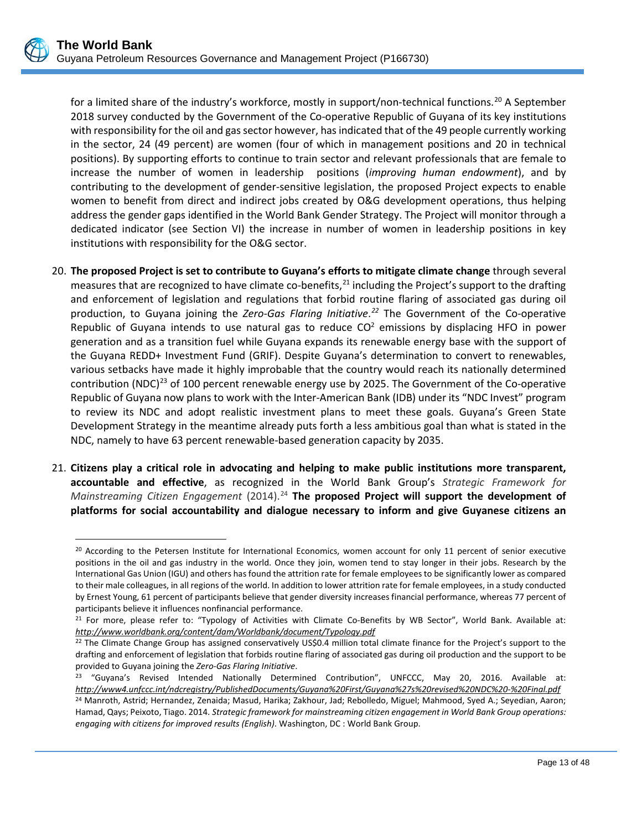for a limited share of the industry's workforce, mostly in support/non-technical functions.<sup>[20](#page-17-0)</sup> A September 2018 survey conducted by the Government of the Co-operative Republic of Guyana of its key institutions with responsibility for the oil and gas sector however, has indicated that of the 49 people currently working in the sector, 24 (49 percent) are women (four of which in management positions and 20 in technical positions). By supporting efforts to continue to train sector and relevant professionals that are female to increase the number of women in leadership positions (*improving human endowment*), and by contributing to the development of gender-sensitive legislation, the proposed Project expects to enable women to benefit from direct and indirect jobs created by O&G development operations, thus helping address the gender gaps identified in the World Bank Gender Strategy. The Project will monitor through a dedicated indicator (see Section VI) the increase in number of women in leadership positions in key institutions with responsibility for the O&G sector.

- 20. **The proposed Project is set to contribute to Guyana's efforts to mitigate climate change** through several measures that are recognized to have climate co-benefits, $21$  including the Project's support to the drafting and enforcement of legislation and regulations that forbid routine flaring of associated gas during oil production, to Guyana joining the *Zero-Gas Flaring Initiative*. *[22](#page-17-2)* The Government of the Co-operative Republic of Guyana intends to use natural gas to reduce  $CO<sup>2</sup>$  emissions by displacing HFO in power generation and as a transition fuel while Guyana expands its renewable energy base with the support of the Guyana REDD+ Investment Fund (GRIF). Despite Guyana's determination to convert to renewables, various setbacks have made it highly improbable that the country would reach its nationally determined contribution (NDC)<sup>[23](#page-17-3)</sup> of 100 percent renewable energy use by 2025. The Government of the Co-operative Republic of Guyana now plans to work with the Inter-American Bank (IDB) under its "NDC Invest" program to review its NDC and adopt realistic investment plans to meet these goals. Guyana's Green State Development Strategy in the meantime already puts forth a less ambitious goal than what is stated in the NDC, namely to have 63 percent renewable-based generation capacity by 2035.
- 21. **Citizens play a critical role in advocating and helping to make public institutions more transparent, accountable and effective**, as recognized in the World Bank Group's *Strategic Framework for Mainstreaming Citizen Engagement* (2014). [24](#page-17-4) **The proposed Project will support the development of platforms for social accountability and dialogue necessary to inform and give Guyanese citizens an**

 $\overline{a}$ 

<span id="page-17-0"></span><sup>&</sup>lt;sup>20</sup> According to the Petersen Institute for International Economics, women account for only 11 percent of senior executive positions in the oil and gas industry in the world. Once they join, women tend to stay longer in their jobs. Research by the International Gas Union (IGU) and others has found the attrition rate for female employees to be significantly lower as compared to their male colleagues, in all regions of the world. In addition to lower attrition rate for female employees, in a study conducted by Ernest Young, 61 percent of participants believe that gender diversity increases financial performance, whereas 77 percent of participants believe it influences nonfinancial performance.

<span id="page-17-1"></span><sup>&</sup>lt;sup>21</sup> For more, please refer to: "Typology of Activities with Climate Co-Benefits by WB Sector", World Bank. Available at: http://www.worldbank.org/content/dam/Worldbank/document/Typology.pdf<br><sup>22</sup>The Climate Change Group has assigned conservatively US\$0.4 million total climate finance for the Project's support to the

<span id="page-17-2"></span>drafting and enforcement of legislation that forbids routine flaring of associated gas during oil production and the support to be provided to Guyana joining the *Zero-Gas Flaring Initiative*.

<span id="page-17-4"></span><span id="page-17-3"></span> $23$  "Guyana's Revised Intended Nationally Determined Contribution", UNFCCC, May 20, 2016. Available at: *<http://www4.unfccc.int/ndcregistry/PublishedDocuments/Guyana%20First/Guyana%27s%20revised%20NDC%20-%20Final.pdf>* <sup>24</sup> Manroth, Astrid; Hernandez, Zenaida; Masud, Harika; Zakhour, Jad; Rebolledo, Miguel; Mahmood, Syed A.; Seyedian, Aaron; Hamad, Qays; Peixoto, Tiago. 2014. *Strategic framework for mainstreaming citizen engagement in World Bank Group operations: engaging with citizens for improved results (English)*. Washington, DC : World Bank Group.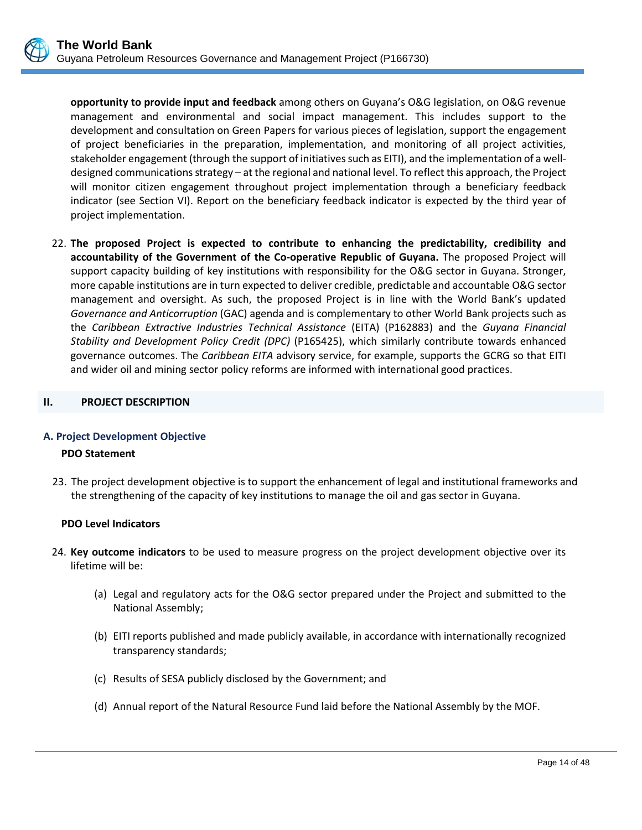**opportunity to provide input and feedback** among others on Guyana's O&G legislation, on O&G revenue management and environmental and social impact management. This includes support to the development and consultation on Green Papers for various pieces of legislation, support the engagement of project beneficiaries in the preparation, implementation, and monitoring of all project activities, stakeholder engagement (through the support of initiatives such as EITI), and the implementation of a welldesigned communications strategy – at the regional and national level. To reflect this approach, the Project will monitor citizen engagement throughout project implementation through a beneficiary feedback indicator (see Section VI). Report on the beneficiary feedback indicator is expected by the third year of project implementation.

22. **The proposed Project is expected to contribute to enhancing the predictability, credibility and accountability of the Government of the Co-operative Republic of Guyana.** The proposed Project will support capacity building of key institutions with responsibility for the O&G sector in Guyana. Stronger, more capable institutions are in turn expected to deliver credible, predictable and accountable O&G sector management and oversight. As such, the proposed Project is in line with the World Bank's updated *Governance and Anticorruption* (GAC) agenda and is complementary to other World Bank projects such as the *Caribbean Extractive Industries Technical Assistance* (EITA) (P162883) and the *Guyana Financial Stability and Development Policy Credit (DPC)* (P165425), which similarly contribute towards enhanced governance outcomes. The *Caribbean EITA* advisory service, for example, supports the GCRG so that EITI and wider oil and mining sector policy reforms are informed with international good practices.

#### <span id="page-18-0"></span>**II. PROJECT DESCRIPTION**

#### <span id="page-18-1"></span>**A. Project Development Objective**

#### **PDO Statement**

23. The project development objective is to support the enhancement of legal and institutional frameworks and the strengthening of the capacity of key institutions to manage the oil and gas sector in Guyana.

#### **PDO Level Indicators**

- 24. **Key outcome indicators** to be used to measure progress on the project development objective over its lifetime will be:
	- (a) Legal and regulatory acts for the O&G sector prepared under the Project and submitted to the National Assembly;
	- (b) EITI reports published and made publicly available, in accordance with internationally recognized transparency standards;
	- (c) Results of SESA publicly disclosed by the Government; and
	- (d) Annual report of the Natural Resource Fund laid before the National Assembly by the MOF.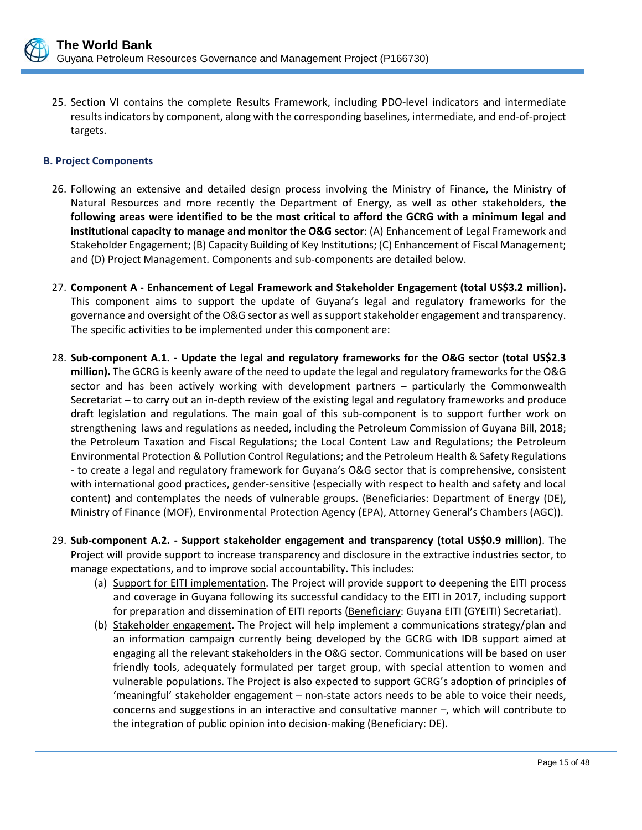

25. Section VI contains the complete Results Framework, including PDO-level indicators and intermediate results indicators by component, along with the corresponding baselines, intermediate, and end-of-project targets.

#### <span id="page-19-0"></span>**B. Project Components**

- 26. Following an extensive and detailed design process involving the Ministry of Finance, the Ministry of Natural Resources and more recently the Department of Energy, as well as other stakeholders, **the following areas were identified to be the most critical to afford the GCRG with a minimum legal and institutional capacity to manage and monitor the O&G sector**: (A) Enhancement of Legal Framework and Stakeholder Engagement; (B) Capacity Building of Key Institutions; (C) Enhancement of Fiscal Management; and (D) Project Management. Components and sub-components are detailed below.
- 27. **Component A - Enhancement of Legal Framework and Stakeholder Engagement (total US\$3.2 million).** This component aims to support the update of Guyana's legal and regulatory frameworks for the governance and oversight of the O&G sector as well as support stakeholder engagement and transparency. The specific activities to be implemented under this component are:
- 28. **Sub-component A.1. - Update the legal and regulatory frameworks for the O&G sector (total US\$2.3 million).** The GCRG is keenly aware of the need to update the legal and regulatory frameworks for the O&G sector and has been actively working with development partners – particularly the Commonwealth Secretariat – to carry out an in-depth review of the existing legal and regulatory frameworks and produce draft legislation and regulations. The main goal of this sub-component is to support further work on strengthening laws and regulations as needed, including the Petroleum Commission of Guyana Bill, 2018; the Petroleum Taxation and Fiscal Regulations; the Local Content Law and Regulations; the Petroleum Environmental Protection & Pollution Control Regulations; and the Petroleum Health & Safety Regulations - to create a legal and regulatory framework for Guyana's O&G sector that is comprehensive, consistent with international good practices, gender-sensitive (especially with respect to health and safety and local content) and contemplates the needs of vulnerable groups. (Beneficiaries: Department of Energy (DE), Ministry of Finance (MOF), Environmental Protection Agency (EPA), Attorney General's Chambers (AGC)).
- 29. **Sub-component A.2. - Support stakeholder engagement and transparency (total US\$0.9 million)**. The Project will provide support to increase transparency and disclosure in the extractive industries sector, to manage expectations, and to improve social accountability. This includes:
	- (a) Support for EITI implementation. The Project will provide support to deepening the EITI process and coverage in Guyana following its successful candidacy to the EITI in 2017, including support for preparation and dissemination of EITI reports (Beneficiary: Guyana EITI (GYEITI) Secretariat).
	- (b) Stakeholder engagement. The Project will help implement a communications strategy/plan and an information campaign currently being developed by the GCRG with IDB support aimed at engaging all the relevant stakeholders in the O&G sector. Communications will be based on user friendly tools, adequately formulated per target group, with special attention to women and vulnerable populations. The Project is also expected to support GCRG's adoption of principles of 'meaningful' stakeholder engagement – non-state actors needs to be able to voice their needs, concerns and suggestions in an interactive and consultative manner –, which will contribute to the integration of public opinion into decision-making (Beneficiary: DE).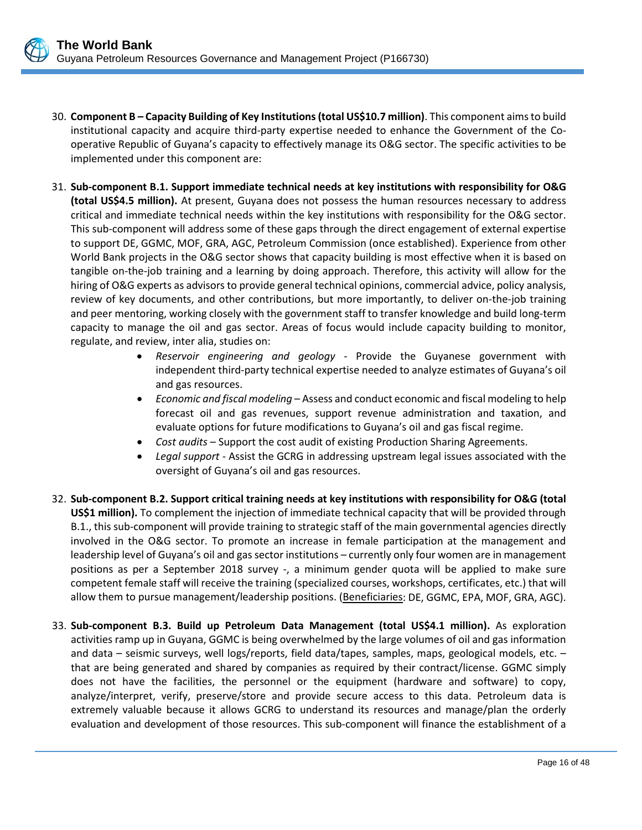

- 30. **Component B – Capacity Building of Key Institutions (total US\$10.7 million)**. This component aims to build institutional capacity and acquire third-party expertise needed to enhance the Government of the Cooperative Republic of Guyana's capacity to effectively manage its O&G sector. The specific activities to be implemented under this component are:
- 31. **Sub-component B.1. Support immediate technical needs at key institutions with responsibility for O&G (total US\$4.5 million).** At present, Guyana does not possess the human resources necessary to address critical and immediate technical needs within the key institutions with responsibility for the O&G sector. This sub-component will address some of these gaps through the direct engagement of external expertise to support DE, GGMC, MOF, GRA, AGC, Petroleum Commission (once established). Experience from other World Bank projects in the O&G sector shows that capacity building is most effective when it is based on tangible on-the-job training and a learning by doing approach. Therefore, this activity will allow for the hiring of O&G experts as advisors to provide general technical opinions, commercial advice, policy analysis, review of key documents, and other contributions, but more importantly, to deliver on-the-job training and peer mentoring, working closely with the government staff to transfer knowledge and build long-term capacity to manage the oil and gas sector. Areas of focus would include capacity building to monitor, regulate, and review, inter alia, studies on:
	- *Reservoir engineering and geology* Provide the Guyanese government with independent third-party technical expertise needed to analyze estimates of Guyana's oil and gas resources.
	- *Economic and fiscal modeling* Assess and conduct economic and fiscal modeling to help forecast oil and gas revenues, support revenue administration and taxation, and evaluate options for future modifications to Guyana's oil and gas fiscal regime.
	- *Cost audits*  Support the cost audit of existing Production Sharing Agreements.
	- *Legal support* Assist the GCRG in addressing upstream legal issues associated with the oversight of Guyana's oil and gas resources.
- 32. **Sub-component B.2. Support critical training needs at key institutions with responsibility for O&G (total US\$1 million).** To complement the injection of immediate technical capacity that will be provided through B.1., this sub-component will provide training to strategic staff of the main governmental agencies directly involved in the O&G sector. To promote an increase in female participation at the management and leadership level of Guyana's oil and gas sector institutions – currently only four women are in management positions as per a September 2018 survey -, a minimum gender quota will be applied to make sure competent female staff will receive the training (specialized courses, workshops, certificates, etc.) that will allow them to pursue management/leadership positions. (Beneficiaries: DE, GGMC, EPA, MOF, GRA, AGC).
- 33. **Sub-component B.3. Build up Petroleum Data Management (total US\$4.1 million).** As exploration activities ramp up in Guyana, GGMC is being overwhelmed by the large volumes of oil and gas information and data – seismic surveys, well logs/reports, field data/tapes, samples, maps, geological models, etc. – that are being generated and shared by companies as required by their contract/license. GGMC simply does not have the facilities, the personnel or the equipment (hardware and software) to copy, analyze/interpret, verify, preserve/store and provide secure access to this data. Petroleum data is extremely valuable because it allows GCRG to understand its resources and manage/plan the orderly evaluation and development of those resources. This sub-component will finance the establishment of a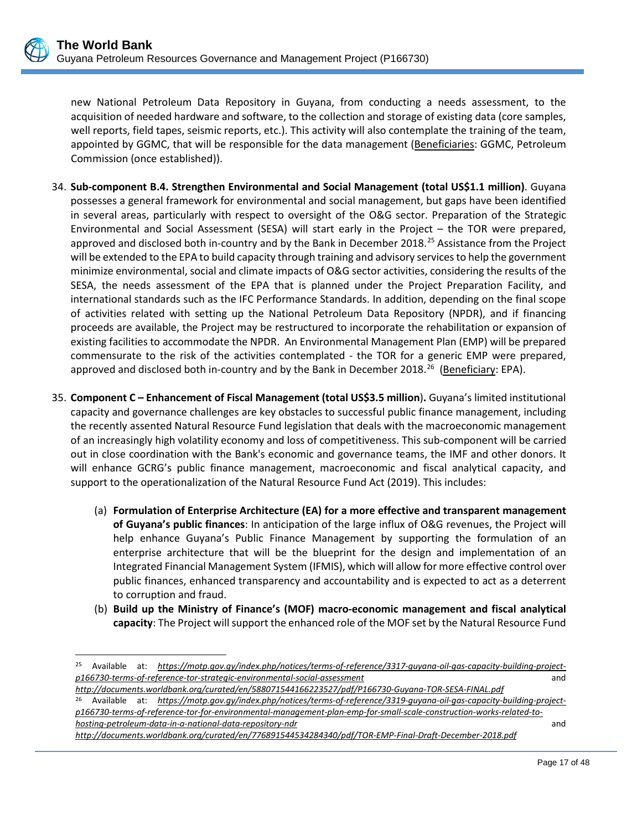new National Petroleum Data Repository in Guyana, from conducting a needs assessment, to the acquisition of needed hardware and software, to the collection and storage of existing data (core samples, well reports, field tapes, seismic reports, etc.). This activity will also contemplate the training of the team, appointed by GGMC, that will be responsible for the data management (Beneficiaries: GGMC, Petroleum Commission (once established)).

- 34. **Sub-component B.4. Strengthen Environmental and Social Management (total US\$1.1 million)**. Guyana possesses a general framework for environmental and social management, but gaps have been identified in several areas, particularly with respect to oversight of the O&G sector. Preparation of the Strategic Environmental and Social Assessment (SESA) will start early in the Project – the TOR were prepared, approved and disclosed both in-country and by the Bank in December 2018.<sup>[25](#page-21-0)</sup> Assistance from the Project will be extended to the EPA to build capacity through training and advisory services to help the government minimize environmental, social and climate impacts of O&G sector activities, considering the results of the SESA, the needs assessment of the EPA that is planned under the Project Preparation Facility, and international standards such as the IFC Performance Standards. In addition, depending on the final scope of activities related with setting up the National Petroleum Data Repository (NPDR), and if financing proceeds are available, the Project may be restructured to incorporate the rehabilitation or expansion of existing facilities to accommodate the NPDR. An Environmental Management Plan (EMP) will be prepared commensurate to the risk of the activities contemplated - the TOR for a generic EMP were prepared, approved and disclosed both in-country and by the Bank in December 2018.<sup>[26](#page-21-1)</sup> (Beneficiary: EPA).
- 35. **Component C – Enhancement of Fiscal Management (total US\$3.5 million**)**.** Guyana's limited institutional capacity and governance challenges are key obstacles to successful public finance management, including the recently assented Natural Resource Fund legislation that deals with the macroeconomic management of an increasingly high volatility economy and loss of competitiveness. This sub-component will be carried out in close coordination with the Bank's economic and governance teams, the IMF and other donors. It will enhance GCRG's public finance management, macroeconomic and fiscal analytical capacity, and support to the operationalization of the Natural Resource Fund Act (2019). This includes:
	- (a) **Formulation of Enterprise Architecture (EA) for a more effective and transparent management of Guyana's public finances**: In anticipation of the large influx of O&G revenues, the Project will help enhance Guyana's Public Finance Management by supporting the formulation of an enterprise architecture that will be the blueprint for the design and implementation of an Integrated Financial Management System (IFMIS), which will allow for more effective control over public finances, enhanced transparency and accountability and is expected to act as a deterrent to corruption and fraud.
	- (b) **Build up the Ministry of Finance's (MOF) macro-economic management and fiscal analytical capacity**: The Project will support the enhanced role of the MOF set by the Natural Resource Fund

 $\overline{a}$ 

Page 17 of 48

<span id="page-21-0"></span><sup>25</sup> Available at: *[https://motp.gov.gy/index.php/notices/terms-of-reference/3317-guyana-oil-gas-capacity-building-project](https://motp.gov.gy/index.php/notices/terms-of-reference/3317-guyana-oil-gas-capacity-building-project-p166730-terms-of-reference-tor-strategic-environmental-social-assessment)[p166730-terms-of-reference-tor-strategic-environmental-social-assessment](https://motp.gov.gy/index.php/notices/terms-of-reference/3317-guyana-oil-gas-capacity-building-project-p166730-terms-of-reference-tor-strategic-environmental-social-assessment)* and

*<http://documents.worldbank.org/curated/en/588071544166223527/pdf/P166730-Guyana-TOR-SESA-FINAL.pdf>*

<span id="page-21-1"></span><sup>26</sup> Available at: *[https://motp.gov.gy/index.php/notices/terms-of-reference/3319-guyana-oil-gas-capacity-building-project](https://motp.gov.gy/index.php/notices/terms-of-reference/3319-guyana-oil-gas-capacity-building-project-p166730-terms-of-reference-tor-for-environmental-management-plan-emp-for-small-scale-construction-works-related-to-hosting-petroleum-data-in-a-national-data-repository-ndr)[p166730-terms-of-reference-tor-for-environmental-management-plan-emp-for-small-scale-construction-works-related-to](https://motp.gov.gy/index.php/notices/terms-of-reference/3319-guyana-oil-gas-capacity-building-project-p166730-terms-of-reference-tor-for-environmental-management-plan-emp-for-small-scale-construction-works-related-to-hosting-petroleum-data-in-a-national-data-repository-ndr)[hosting-petroleum-data-in-a-national-data-repository-ndr](https://motp.gov.gy/index.php/notices/terms-of-reference/3319-guyana-oil-gas-capacity-building-project-p166730-terms-of-reference-tor-for-environmental-management-plan-emp-for-small-scale-construction-works-related-to-hosting-petroleum-data-in-a-national-data-repository-ndr)* and *<http://documents.worldbank.org/curated/en/776891544534284340/pdf/TOR-EMP-Final-Draft-December-2018.pdf>*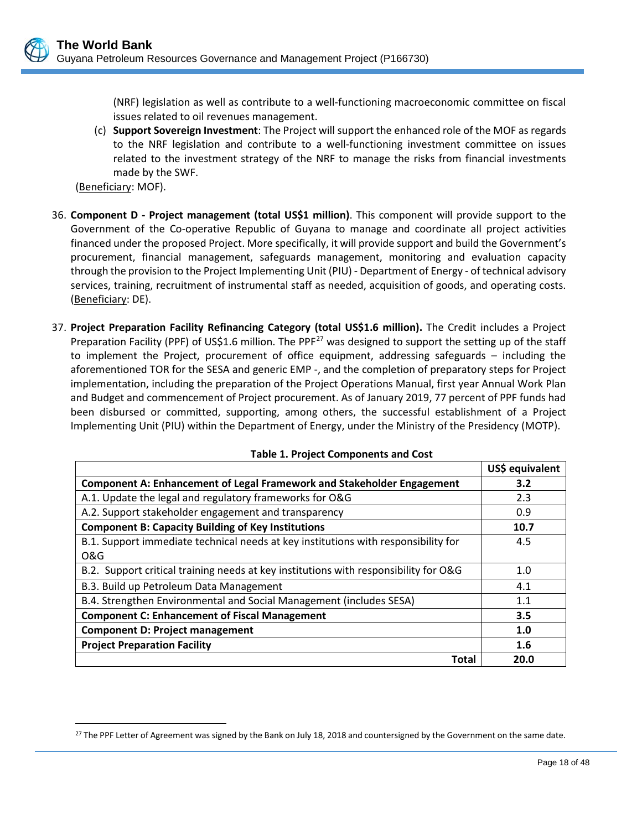(NRF) legislation as well as contribute to a well-functioning macroeconomic committee on fiscal issues related to oil revenues management.

(c) **Support Sovereign Investment**: The Project will support the enhanced role of the MOF as regards to the NRF legislation and contribute to a well-functioning investment committee on issues related to the investment strategy of the NRF to manage the risks from financial investments made by the SWF.

(Beneficiary: MOF).

 $\overline{a}$ 

- 36. **Component D - Project management (total US\$1 million)**. This component will provide support to the Government of the Co-operative Republic of Guyana to manage and coordinate all project activities financed under the proposed Project. More specifically, it will provide support and build the Government's procurement, financial management, safeguards management, monitoring and evaluation capacity through the provision to the Project Implementing Unit (PIU) - Department of Energy - of technical advisory services, training, recruitment of instrumental staff as needed, acquisition of goods, and operating costs. (Beneficiary: DE).
- 37. **Project Preparation Facility Refinancing Category (total US\$1.6 million).** The Credit includes a Project Preparation Facility (PPF) of US\$1.6 million. The PPF $^{27}$  $^{27}$  $^{27}$  was designed to support the setting up of the staff to implement the Project, procurement of office equipment, addressing safeguards – including the aforementioned TOR for the SESA and generic EMP -, and the completion of preparatory steps for Project implementation, including the preparation of the Project Operations Manual, first year Annual Work Plan and Budget and commencement of Project procurement. As of January 2019, 77 percent of PPF funds had been disbursed or committed, supporting, among others, the successful establishment of a Project Implementing Unit (PIU) within the Department of Energy, under the Ministry of the Presidency (MOTP).

|                                                                                      | US\$ equivalent |
|--------------------------------------------------------------------------------------|-----------------|
| <b>Component A: Enhancement of Legal Framework and Stakeholder Engagement</b>        | 3.2             |
| A.1. Update the legal and regulatory frameworks for O&G                              | 2.3             |
| A.2. Support stakeholder engagement and transparency                                 | 0.9             |
| <b>Component B: Capacity Building of Key Institutions</b>                            | 10.7            |
| B.1. Support immediate technical needs at key institutions with responsibility for   | 4.5             |
| 0&G                                                                                  |                 |
| B.2. Support critical training needs at key institutions with responsibility for O&G | 1.0             |
| B.3. Build up Petroleum Data Management                                              | 4.1             |
| B.4. Strengthen Environmental and Social Management (includes SESA)                  | 1.1             |
| <b>Component C: Enhancement of Fiscal Management</b>                                 | 3.5             |
| <b>Component D: Project management</b>                                               | 1.0             |
| <b>Project Preparation Facility</b>                                                  | 1.6             |
| Total                                                                                | 20.0            |

#### **Table 1. Project Components and Cost**

<span id="page-22-0"></span><sup>&</sup>lt;sup>27</sup> The PPF Letter of Agreement was signed by the Bank on July 18, 2018 and countersigned by the Government on the same date.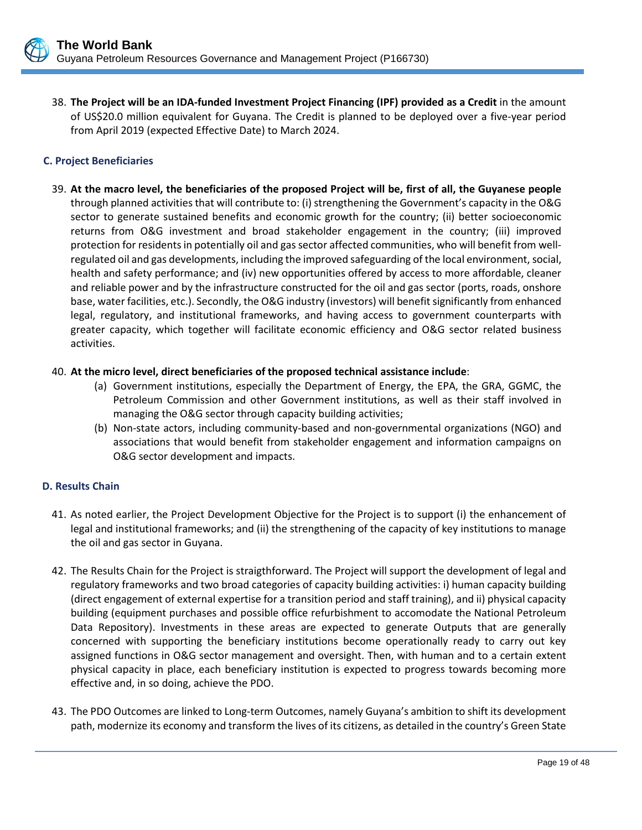38. **The Project will be an IDA-funded Investment Project Financing (IPF) provided as a Credit** in the amount of US\$20.0 million equivalent for Guyana. The Credit is planned to be deployed over a five-year period from April 2019 (expected Effective Date) to March 2024.

#### <span id="page-23-0"></span>**C. Project Beneficiaries**

39. **At the macro level, the beneficiaries of the proposed Project will be, first of all, the Guyanese people**  through planned activities that will contribute to: (i) strengthening the Government's capacity in the O&G sector to generate sustained benefits and economic growth for the country; (ii) better socioeconomic returns from O&G investment and broad stakeholder engagement in the country; (iii) improved protection for residents in potentially oil and gas sector affected communities, who will benefit from wellregulated oil and gas developments, including the improved safeguarding of the local environment, social, health and safety performance; and (iv) new opportunities offered by access to more affordable, cleaner and reliable power and by the infrastructure constructed for the oil and gas sector (ports, roads, onshore base, water facilities, etc.). Secondly, the O&G industry (investors) will benefit significantly from enhanced legal, regulatory, and institutional frameworks, and having access to government counterparts with greater capacity, which together will facilitate economic efficiency and O&G sector related business activities.

#### 40. **At the micro level, direct beneficiaries of the proposed technical assistance include**:

- (a) Government institutions, especially the Department of Energy, the EPA, the GRA, GGMC, the Petroleum Commission and other Government institutions, as well as their staff involved in managing the O&G sector through capacity building activities;
- (b) Non-state actors, including community-based and non-governmental organizations (NGO) and associations that would benefit from stakeholder engagement and information campaigns on O&G sector development and impacts.

#### <span id="page-23-1"></span>**D. Results Chain**

- 41. As noted earlier, the Project Development Objective for the Project is to support (i) the enhancement of legal and institutional frameworks; and (ii) the strengthening of the capacity of key institutions to manage the oil and gas sector in Guyana.
- 42. The Results Chain for the Project is straigthforward. The Project will support the development of legal and regulatory frameworks and two broad categories of capacity building activities: i) human capacity building (direct engagement of external expertise for a transition period and staff training), and ii) physical capacity building (equipment purchases and possible office refurbishment to accomodate the National Petroleum Data Repository). Investments in these areas are expected to generate Outputs that are generally concerned with supporting the beneficiary institutions become operationally ready to carry out key assigned functions in O&G sector management and oversight. Then, with human and to a certain extent physical capacity in place, each beneficiary institution is expected to progress towards becoming more effective and, in so doing, achieve the PDO.
- 43. The PDO Outcomes are linked to Long-term Outcomes, namely Guyana's ambition to shift its development path, modernize its economy and transform the lives of its citizens, as detailed in the country's Green State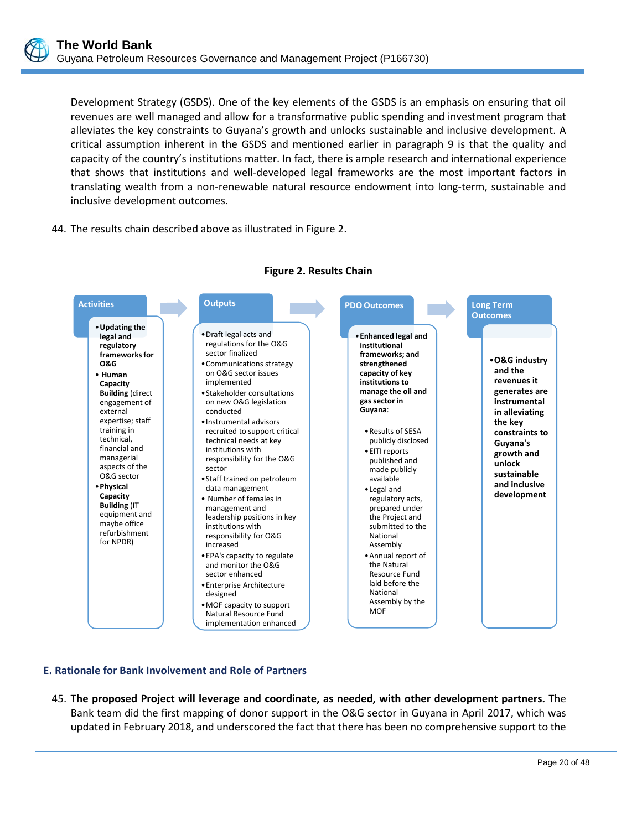Development Strategy (GSDS). One of the key elements of the GSDS is an emphasis on ensuring that oil revenues are well managed and allow for a transformative public spending and investment program that alleviates the key constraints to Guyana's growth and unlocks sustainable and inclusive development. A critical assumption inherent in the GSDS and mentioned earlier in paragraph 9 is that the quality and capacity of the country's institutions matter. In fact, there is ample research and international experience that shows that institutions and well-developed legal frameworks are the most important factors in translating wealth from a non-renewable natural resource endowment into long-term, sustainable and inclusive development outcomes.

44. The results chain described above as illustrated in Figure 2.



# **Figure 2. Results Chain**

## <span id="page-24-0"></span>**E. Rationale for Bank Involvement and Role of Partners**

45. **The proposed Project will leverage and coordinate, as needed, with other development partners.** The Bank team did the first mapping of donor support in the O&G sector in Guyana in April 2017, which was updated in February 2018, and underscored the fact that there has been no comprehensive support to the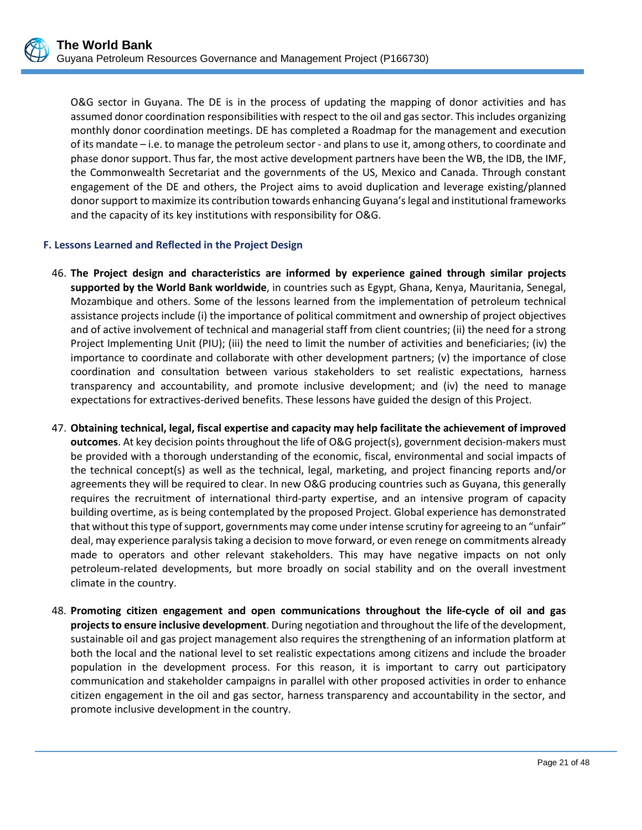O&G sector in Guyana. The DE is in the process of updating the mapping of donor activities and has assumed donor coordination responsibilities with respect to the oil and gas sector. This includes organizing monthly donor coordination meetings. DE has completed a Roadmap for the management and execution of its mandate – i.e. to manage the petroleum sector - and plans to use it, among others, to coordinate and phase donor support. Thus far, the most active development partners have been the WB, the IDB, the IMF, the Commonwealth Secretariat and the governments of the US, Mexico and Canada. Through constant engagement of the DE and others, the Project aims to avoid duplication and leverage existing/planned donor support to maximize its contribution towards enhancing Guyana's legal and institutional frameworks and the capacity of its key institutions with responsibility for O&G.

# <span id="page-25-0"></span>**F. Lessons Learned and Reflected in the Project Design**

- 46. **The Project design and characteristics are informed by experience gained through similar projects supported by the World Bank worldwide**, in countries such as Egypt, Ghana, Kenya, Mauritania, Senegal, Mozambique and others. Some of the lessons learned from the implementation of petroleum technical assistance projects include (i) the importance of political commitment and ownership of project objectives and of active involvement of technical and managerial staff from client countries; (ii) the need for a strong Project Implementing Unit (PIU); (iii) the need to limit the number of activities and beneficiaries; (iv) the importance to coordinate and collaborate with other development partners; (v) the importance of close coordination and consultation between various stakeholders to set realistic expectations, harness transparency and accountability, and promote inclusive development; and (iv) the need to manage expectations for extractives-derived benefits. These lessons have guided the design of this Project.
- 47. **Obtaining technical, legal, fiscal expertise and capacity may help facilitate the achievement of improved outcomes**. At key decision points throughout the life of O&G project(s), government decision-makers must be provided with a thorough understanding of the economic, fiscal, environmental and social impacts of the technical concept(s) as well as the technical, legal, marketing, and project financing reports and/or agreements they will be required to clear. In new O&G producing countries such as Guyana, this generally requires the recruitment of international third-party expertise, and an intensive program of capacity building overtime, as is being contemplated by the proposed Project. Global experience has demonstrated that without this type of support, governments may come underintense scrutiny for agreeing to an "unfair" deal, may experience paralysis taking a decision to move forward, or even renege on commitments already made to operators and other relevant stakeholders. This may have negative impacts on not only petroleum-related developments, but more broadly on social stability and on the overall investment climate in the country.
- 48. **Promoting citizen engagement and open communications throughout the life-cycle of oil and gas projects to ensure inclusive development**. During negotiation and throughout the life of the development, sustainable oil and gas project management also requires the strengthening of an information platform at both the local and the national level to set realistic expectations among citizens and include the broader population in the development process. For this reason, it is important to carry out participatory communication and stakeholder campaigns in parallel with other proposed activities in order to enhance citizen engagement in the oil and gas sector, harness transparency and accountability in the sector, and promote inclusive development in the country.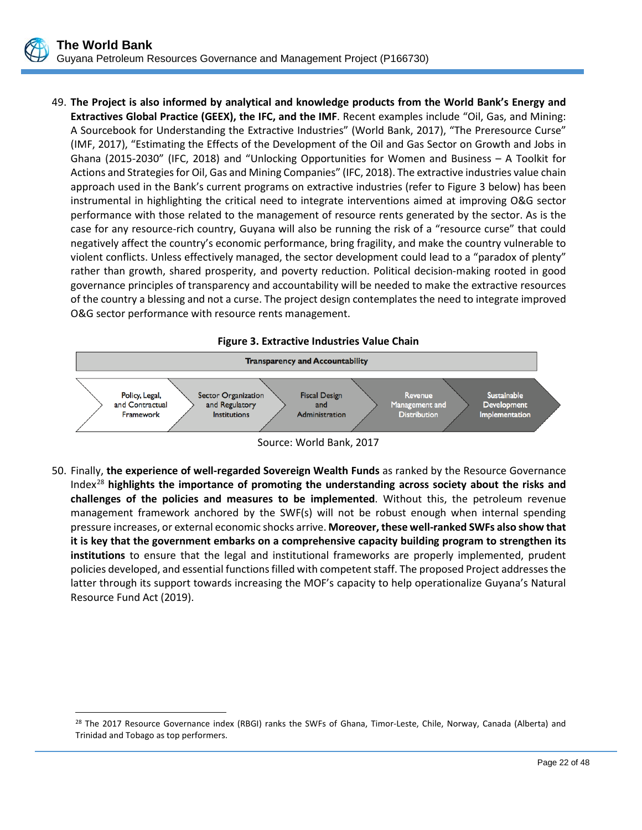49. **The Project is also informed by analytical and knowledge products from the World Bank's Energy and Extractives Global Practice (GEEX), the IFC, and the IMF**. Recent examples include "Oil, Gas, and Mining: A Sourcebook for Understanding the Extractive Industries" (World Bank, 2017), "The Preresource Curse" (IMF, 2017), "Estimating the Effects of the Development of the Oil and Gas Sector on Growth and Jobs in Ghana (2015-2030" (IFC, 2018) and "Unlocking Opportunities for Women and Business – A Toolkit for Actions and Strategies for Oil, Gas and Mining Companies" (IFC, 2018). The extractive industries value chain approach used in the Bank's current programs on extractive industries (refer to Figure 3 below) has been instrumental in highlighting the critical need to integrate interventions aimed at improving O&G sector performance with those related to the management of resource rents generated by the sector. As is the case for any resource-rich country, Guyana will also be running the risk of a "resource curse" that could negatively affect the country's economic performance, bring fragility, and make the country vulnerable to violent conflicts. Unless effectively managed, the sector development could lead to a "paradox of plenty" rather than growth, shared prosperity, and poverty reduction. Political decision-making rooted in good governance principles of transparency and accountability will be needed to make the extractive resources of the country a blessing and not a curse. The project design contemplates the need to integrate improved O&G sector performance with resource rents management.





50. Finally, **the experience of well-regarded Sovereign Wealth Funds** as ranked by the Resource Governance Index[28](#page-26-0) **highlights the importance of promoting the understanding across society about the risks and challenges of the policies and measures to be implemented**. Without this, the petroleum revenue management framework anchored by the SWF(s) will not be robust enough when internal spending pressure increases, or external economic shocks arrive. **Moreover, these well-ranked SWFs also show that it is key that the government embarks on a comprehensive capacity building program to strengthen its institutions** to ensure that the legal and institutional frameworks are properly implemented, prudent policies developed, and essential functions filled with competent staff. The proposed Project addresses the latter through its support towards increasing the MOF's capacity to help operationalize Guyana's Natural Resource Fund Act (2019).

 $\overline{a}$ 

<span id="page-26-0"></span><sup>&</sup>lt;sup>28</sup> The 2017 Resource Governance index (RBGI) ranks the SWFs of Ghana, Timor-Leste, Chile, Norway, Canada (Alberta) and Trinidad and Tobago as top performers.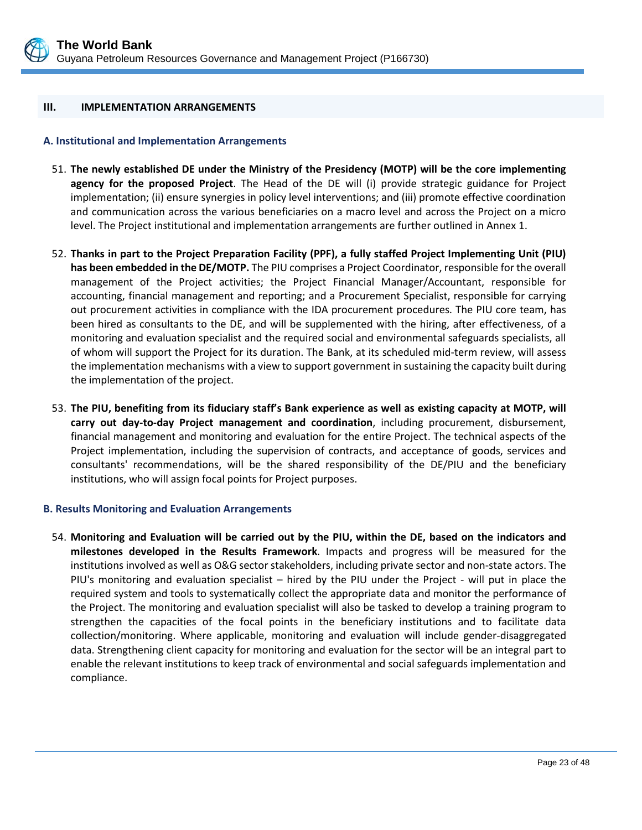

#### <span id="page-27-0"></span>**III. IMPLEMENTATION ARRANGEMENTS**

#### <span id="page-27-1"></span>**A. Institutional and Implementation Arrangements**

- 51. **The newly established DE under the Ministry of the Presidency (MOTP) will be the core implementing agency for the proposed Project**. The Head of the DE will (i) provide strategic guidance for Project implementation; (ii) ensure synergies in policy level interventions; and (iii) promote effective coordination and communication across the various beneficiaries on a macro level and across the Project on a micro level. The Project institutional and implementation arrangements are further outlined in Annex 1.
- 52. **Thanks in part to the Project Preparation Facility (PPF), a fully staffed Project Implementing Unit (PIU) has been embedded in the DE/MOTP.** The PIU comprises a Project Coordinator, responsible for the overall management of the Project activities; the Project Financial Manager/Accountant, responsible for accounting, financial management and reporting; and a Procurement Specialist, responsible for carrying out procurement activities in compliance with the IDA procurement procedures. The PIU core team, has been hired as consultants to the DE, and will be supplemented with the hiring, after effectiveness, of a monitoring and evaluation specialist and the required social and environmental safeguards specialists, all of whom will support the Project for its duration. The Bank, at its scheduled mid-term review, will assess the implementation mechanisms with a view to support government in sustaining the capacity built during the implementation of the project.
- 53. **The PIU, benefiting from its fiduciary staff's Bank experience as well as existing capacity at MOTP, will carry out day-to-day Project management and coordination**, including procurement, disbursement, financial management and monitoring and evaluation for the entire Project. The technical aspects of the Project implementation, including the supervision of contracts, and acceptance of goods, services and consultants' recommendations, will be the shared responsibility of the DE/PIU and the beneficiary institutions, who will assign focal points for Project purposes.

#### <span id="page-27-2"></span>**B. Results Monitoring and Evaluation Arrangements**

54. **Monitoring and Evaluation will be carried out by the PIU, within the DE, based on the indicators and milestones developed in the Results Framework**. Impacts and progress will be measured for the institutions involved as well as O&G sector stakeholders, including private sector and non-state actors. The PIU's monitoring and evaluation specialist – hired by the PIU under the Project - will put in place the required system and tools to systematically collect the appropriate data and monitor the performance of the Project. The monitoring and evaluation specialist will also be tasked to develop a training program to strengthen the capacities of the focal points in the beneficiary institutions and to facilitate data collection/monitoring. Where applicable, monitoring and evaluation will include gender-disaggregated data. Strengthening client capacity for monitoring and evaluation for the sector will be an integral part to enable the relevant institutions to keep track of environmental and social safeguards implementation and compliance.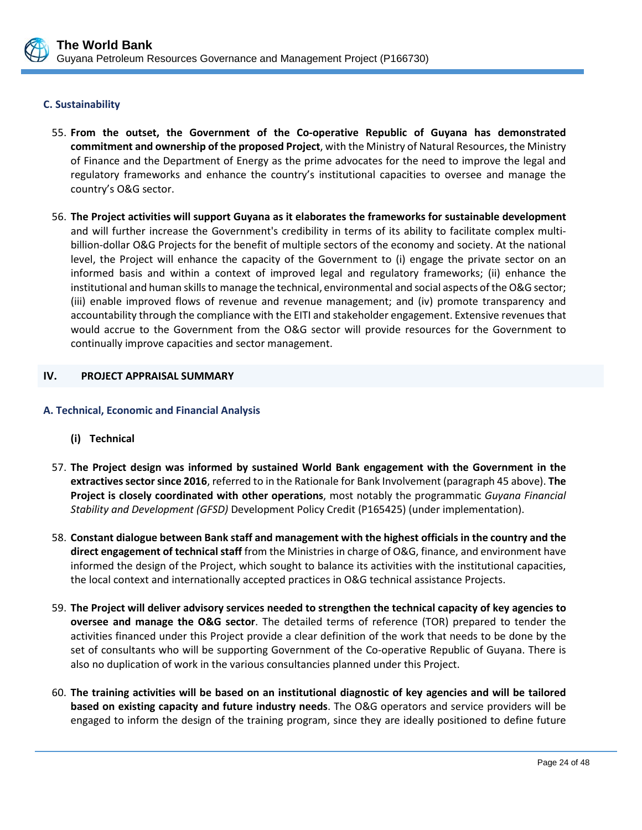# <span id="page-28-0"></span>**C. Sustainability**

- 55. **From the outset, the Government of the Co-operative Republic of Guyana has demonstrated commitment and ownership of the proposed Project**, with the Ministry of Natural Resources, the Ministry of Finance and the Department of Energy as the prime advocates for the need to improve the legal and regulatory frameworks and enhance the country's institutional capacities to oversee and manage the country's O&G sector.
- 56. **The Project activities will support Guyana as it elaborates the frameworks for sustainable development** and will further increase the Government's credibility in terms of its ability to facilitate complex multibillion-dollar O&G Projects for the benefit of multiple sectors of the economy and society. At the national level, the Project will enhance the capacity of the Government to (i) engage the private sector on an informed basis and within a context of improved legal and regulatory frameworks; (ii) enhance the institutional and human skills to manage the technical, environmental and social aspects of the O&G sector; (iii) enable improved flows of revenue and revenue management; and (iv) promote transparency and accountability through the compliance with the EITI and stakeholder engagement. Extensive revenues that would accrue to the Government from the O&G sector will provide resources for the Government to continually improve capacities and sector management.

#### <span id="page-28-1"></span>**IV. PROJECT APPRAISAL SUMMARY**

#### <span id="page-28-2"></span>**A. Technical, Economic and Financial Analysis**

- **(i) Technical**
- 57. **The Project design was informed by sustained World Bank engagement with the Government in the extractives sector since 2016**, referred to in the Rationale for Bank Involvement (paragraph 45 above). **The Project is closely coordinated with other operations**, most notably the programmatic *Guyana Financial Stability and Development (GFSD)* Development Policy Credit (P165425) (under implementation).
- 58. **Constant dialogue between Bank staff and management with the highest officials in the country and the direct engagement of technical staff** from the Ministries in charge of O&G, finance, and environment have informed the design of the Project, which sought to balance its activities with the institutional capacities, the local context and internationally accepted practices in O&G technical assistance Projects.
- 59. **The Project will deliver advisory services needed to strengthen the technical capacity of key agencies to oversee and manage the O&G sector**. The detailed terms of reference (TOR) prepared to tender the activities financed under this Project provide a clear definition of the work that needs to be done by the set of consultants who will be supporting Government of the Co-operative Republic of Guyana. There is also no duplication of work in the various consultancies planned under this Project.
- 60. **The training activities will be based on an institutional diagnostic of key agencies and will be tailored based on existing capacity and future industry needs**. The O&G operators and service providers will be engaged to inform the design of the training program, since they are ideally positioned to define future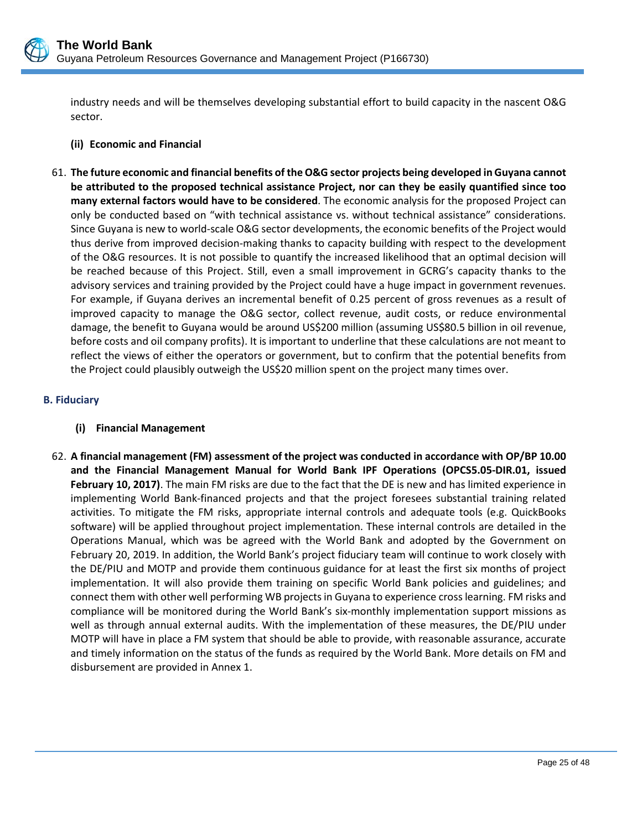

industry needs and will be themselves developing substantial effort to build capacity in the nascent O&G sector.

# **(ii) Economic and Financial**

61. **The future economic and financial benefits of the O&G sector projects being developed in Guyana cannot be attributed to the proposed technical assistance Project, nor can they be easily quantified since too many external factors would have to be considered**. The economic analysis for the proposed Project can only be conducted based on "with technical assistance vs. without technical assistance" considerations. Since Guyana is new to world-scale O&G sector developments, the economic benefits of the Project would thus derive from improved decision-making thanks to capacity building with respect to the development of the O&G resources. It is not possible to quantify the increased likelihood that an optimal decision will be reached because of this Project. Still, even a small improvement in GCRG's capacity thanks to the advisory services and training provided by the Project could have a huge impact in government revenues. For example, if Guyana derives an incremental benefit of 0.25 percent of gross revenues as a result of improved capacity to manage the O&G sector, collect revenue, audit costs, or reduce environmental damage, the benefit to Guyana would be around US\$200 million (assuming US\$80.5 billion in oil revenue, before costs and oil company profits). It is important to underline that these calculations are not meant to reflect the views of either the operators or government, but to confirm that the potential benefits from the Project could plausibly outweigh the US\$20 million spent on the project many times over.

## <span id="page-29-0"></span>**B. Fiduciary**

## **(i) Financial Management**

62. **A financial management (FM) assessment of the project was conducted in accordance with OP/BP 10.00 and the Financial Management Manual for World Bank IPF Operations (OPCS5.05-DIR.01, issued February 10, 2017)**. The main FM risks are due to the fact that the DE is new and has limited experience in implementing World Bank-financed projects and that the project foresees substantial training related activities. To mitigate the FM risks, appropriate internal controls and adequate tools (e.g. QuickBooks software) will be applied throughout project implementation. These internal controls are detailed in the Operations Manual, which was be agreed with the World Bank and adopted by the Government on February 20, 2019. In addition, the World Bank's project fiduciary team will continue to work closely with the DE/PIU and MOTP and provide them continuous guidance for at least the first six months of project implementation. It will also provide them training on specific World Bank policies and guidelines; and connect them with other well performing WB projects in Guyana to experience cross learning. FM risks and compliance will be monitored during the World Bank's six-monthly implementation support missions as well as through annual external audits. With the implementation of these measures, the DE/PIU under MOTP will have in place a FM system that should be able to provide, with reasonable assurance, accurate and timely information on the status of the funds as required by the World Bank. More details on FM and disbursement are provided in Annex 1.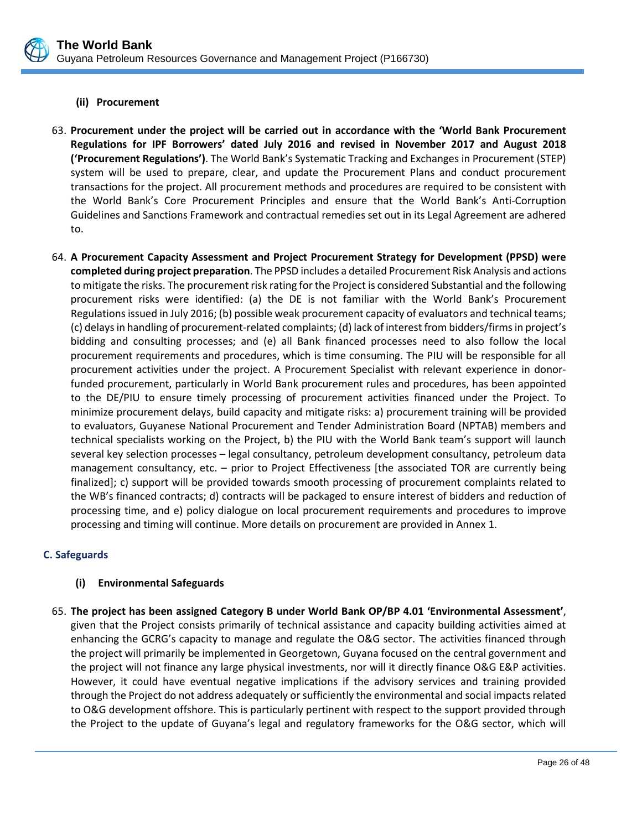## **(ii) Procurement**

- 63. **Procurement under the project will be carried out in accordance with the 'World Bank Procurement Regulations for IPF Borrowers' dated July 2016 and revised in November 2017 and August 2018 ('Procurement Regulations')**. The World Bank's Systematic Tracking and Exchanges in Procurement (STEP) system will be used to prepare, clear, and update the Procurement Plans and conduct procurement transactions for the project. All procurement methods and procedures are required to be consistent with the World Bank's Core Procurement Principles and ensure that the World Bank's Anti-Corruption Guidelines and Sanctions Framework and contractual remedies set out in its Legal Agreement are adhered to.
- 64. **A Procurement Capacity Assessment and Project Procurement Strategy for Development (PPSD) were completed during project preparation**. The PPSD includes a detailed Procurement Risk Analysis and actions to mitigate the risks. The procurement risk rating for the Project is considered Substantial and the following procurement risks were identified: (a) the DE is not familiar with the World Bank's Procurement Regulations issued in July 2016; (b) possible weak procurement capacity of evaluators and technical teams; (c) delays in handling of procurement-related complaints; (d) lack of interest from bidders/firms in project's bidding and consulting processes; and (e) all Bank financed processes need to also follow the local procurement requirements and procedures, which is time consuming. The PIU will be responsible for all procurement activities under the project. A Procurement Specialist with relevant experience in donorfunded procurement, particularly in World Bank procurement rules and procedures, has been appointed to the DE/PIU to ensure timely processing of procurement activities financed under the Project. To minimize procurement delays, build capacity and mitigate risks: a) procurement training will be provided to evaluators, Guyanese National Procurement and Tender Administration Board (NPTAB) members and technical specialists working on the Project, b) the PIU with the World Bank team's support will launch several key selection processes – legal consultancy, petroleum development consultancy, petroleum data management consultancy, etc. – prior to Project Effectiveness [the associated TOR are currently being finalized]; c) support will be provided towards smooth processing of procurement complaints related to the WB's financed contracts; d) contracts will be packaged to ensure interest of bidders and reduction of processing time, and e) policy dialogue on local procurement requirements and procedures to improve processing and timing will continue. More details on procurement are provided in Annex 1.

#### <span id="page-30-0"></span>**C. Safeguards**

## **(i) Environmental Safeguards**

65. **The project has been assigned Category B under World Bank OP/BP 4.01 'Environmental Assessment'**, given that the Project consists primarily of technical assistance and capacity building activities aimed at enhancing the GCRG's capacity to manage and regulate the O&G sector. The activities financed through the project will primarily be implemented in Georgetown, Guyana focused on the central government and the project will not finance any large physical investments, nor will it directly finance O&G E&P activities. However, it could have eventual negative implications if the advisory services and training provided through the Project do not address adequately or sufficiently the environmental and social impacts related to O&G development offshore. This is particularly pertinent with respect to the support provided through the Project to the update of Guyana's legal and regulatory frameworks for the O&G sector, which will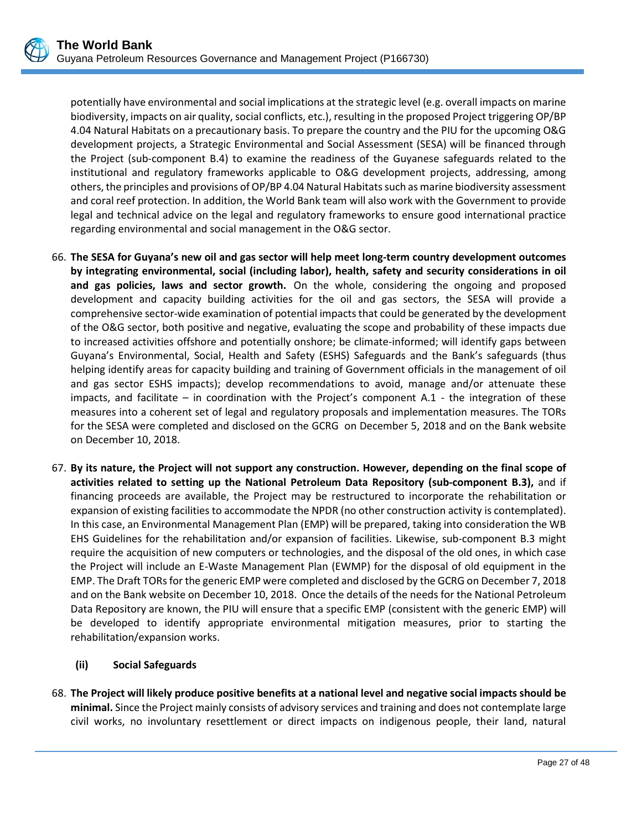potentially have environmental and social implications at the strategic level (e.g. overall impacts on marine biodiversity, impacts on air quality, social conflicts, etc.), resulting in the proposed Project triggering OP/BP 4.04 Natural Habitats on a precautionary basis. To prepare the country and the PIU for the upcoming O&G development projects, a Strategic Environmental and Social Assessment (SESA) will be financed through the Project (sub-component B.4) to examine the readiness of the Guyanese safeguards related to the institutional and regulatory frameworks applicable to O&G development projects, addressing, among others, the principles and provisions of OP/BP 4.04 Natural Habitats such as marine biodiversity assessment and coral reef protection. In addition, the World Bank team will also work with the Government to provide legal and technical advice on the legal and regulatory frameworks to ensure good international practice regarding environmental and social management in the O&G sector.

- 66. **The SESA for Guyana's new oil and gas sector will help meet long-term country development outcomes by integrating environmental, social (including labor), health, safety and security considerations in oil and gas policies, laws and sector growth.** On the whole, considering the ongoing and proposed development and capacity building activities for the oil and gas sectors, the SESA will provide a comprehensive sector-wide examination of potential impacts that could be generated by the development of the O&G sector, both positive and negative, evaluating the scope and probability of these impacts due to increased activities offshore and potentially onshore; be climate-informed; will identify gaps between Guyana's Environmental, Social, Health and Safety (ESHS) Safeguards and the Bank's safeguards (thus helping identify areas for capacity building and training of Government officials in the management of oil and gas sector ESHS impacts); develop recommendations to avoid, manage and/or attenuate these impacts, and facilitate – in coordination with the Project's component A.1 - the integration of these measures into a coherent set of legal and regulatory proposals and implementation measures. The TORs for the SESA were completed and disclosed on the GCRG on December 5, 2018 and on the Bank website on December 10, 2018.
- 67. **By its nature, the Project will not support any construction. However, depending on the final scope of activities related to setting up the National Petroleum Data Repository (sub-component B.3),** and if financing proceeds are available, the Project may be restructured to incorporate the rehabilitation or expansion of existing facilities to accommodate the NPDR (no other construction activity is contemplated). In this case, an Environmental Management Plan (EMP) will be prepared, taking into consideration the WB EHS Guidelines for the rehabilitation and/or expansion of facilities. Likewise, sub-component B.3 might require the acquisition of new computers or technologies, and the disposal of the old ones, in which case the Project will include an E-Waste Management Plan (EWMP) for the disposal of old equipment in the EMP. The Draft TORs for the generic EMP were completed and disclosed by the GCRG on December 7, 2018 and on the Bank website on December 10, 2018. Once the details of the needs for the National Petroleum Data Repository are known, the PIU will ensure that a specific EMP (consistent with the generic EMP) will be developed to identify appropriate environmental mitigation measures, prior to starting the rehabilitation/expansion works.

## **(ii) Social Safeguards**

68. **The Project will likely produce positive benefits at a national level and negative social impacts should be minimal.** Since the Project mainly consists of advisory services and training and does not contemplate large civil works, no involuntary resettlement or direct impacts on indigenous people, their land, natural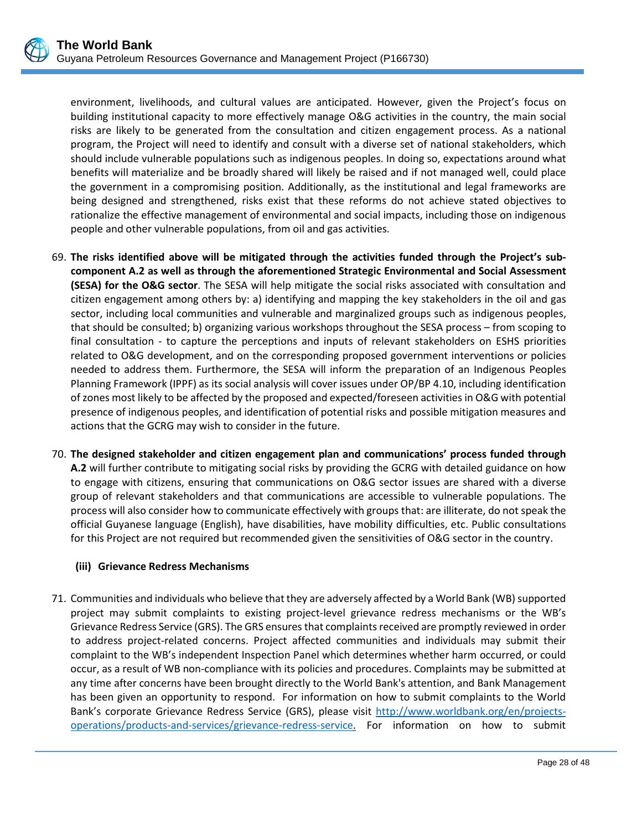environment, livelihoods, and cultural values are anticipated. However, given the Project's focus on building institutional capacity to more effectively manage O&G activities in the country, the main social risks are likely to be generated from the consultation and citizen engagement process. As a national program, the Project will need to identify and consult with a diverse set of national stakeholders, which should include vulnerable populations such as indigenous peoples. In doing so, expectations around what benefits will materialize and be broadly shared will likely be raised and if not managed well, could place the government in a compromising position. Additionally, as the institutional and legal frameworks are being designed and strengthened, risks exist that these reforms do not achieve stated objectives to rationalize the effective management of environmental and social impacts, including those on indigenous people and other vulnerable populations, from oil and gas activities.

- 69. **The risks identified above will be mitigated through the activities funded through the Project's subcomponent A.2 as well as through the aforementioned Strategic Environmental and Social Assessment (SESA) for the O&G sector**. The SESA will help mitigate the social risks associated with consultation and citizen engagement among others by: a) identifying and mapping the key stakeholders in the oil and gas sector, including local communities and vulnerable and marginalized groups such as indigenous peoples, that should be consulted; b) organizing various workshops throughout the SESA process – from scoping to final consultation - to capture the perceptions and inputs of relevant stakeholders on ESHS priorities related to O&G development, and on the corresponding proposed government interventions or policies needed to address them. Furthermore, the SESA will inform the preparation of an Indigenous Peoples Planning Framework (IPPF) as its social analysis will cover issues under OP/BP 4.10, including identification of zones most likely to be affected by the proposed and expected/foreseen activities in O&G with potential presence of indigenous peoples, and identification of potential risks and possible mitigation measures and actions that the GCRG may wish to consider in the future.
- 70. **The designed stakeholder and citizen engagement plan and communications' process funded through A.2** will further contribute to mitigating social risks by providing the GCRG with detailed guidance on how to engage with citizens, ensuring that communications on O&G sector issues are shared with a diverse group of relevant stakeholders and that communications are accessible to vulnerable populations. The process will also consider how to communicate effectively with groups that: are illiterate, do not speak the official Guyanese language (English), have disabilities, have mobility difficulties, etc. Public consultations for this Project are not required but recommended given the sensitivities of O&G sector in the country.

## **(iii) Grievance Redress Mechanisms**

71. Communities and individuals who believe that they are adversely affected by a World Bank (WB) supported project may submit complaints to existing project-level grievance redress mechanisms or the WB's Grievance Redress Service (GRS). The GRS ensures that complaints received are promptly reviewed in order to address project-related concerns. Project affected communities and individuals may submit their complaint to the WB's independent Inspection Panel which determines whether harm occurred, or could occur, as a result of WB non-compliance with its policies and procedures. Complaints may be submitted at any time after concerns have been brought directly to the World Bank's attention, and Bank Management has been given an opportunity to respond. For information on how to submit complaints to the World Bank's corporate Grievance Redress Service (GRS), please visit [http://www.worldbank.org/en/projects](http://www.worldbank.org/en/projects-operations/products-and-services/grievance-redress-service)[operations/products-and-services/grievance-redress-service.](http://www.worldbank.org/en/projects-operations/products-and-services/grievance-redress-service) For information on how to submit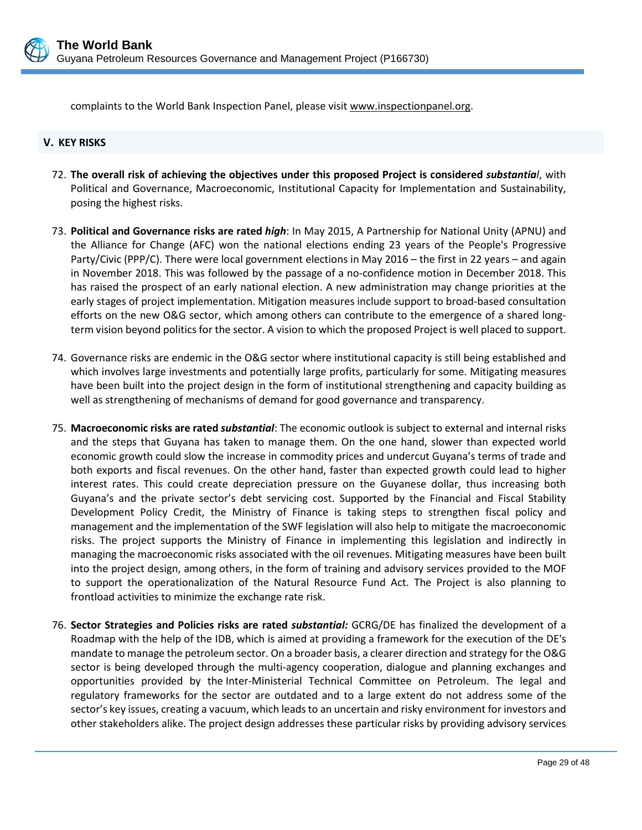complaints to the World Bank Inspection Panel, please visit [www.inspectionpanel.org.](http://www.inspectionpanel.org/)

#### <span id="page-33-0"></span>**V. KEY RISKS**

- 72. **The overall risk of achieving the objectives under this proposed Project is considered** *substantial*, with Political and Governance, Macroeconomic, Institutional Capacity for Implementation and Sustainability, posing the highest risks.
- 73. **Political and Governance risks are rated** *high*: In May 2015, A Partnership for National Unity (APNU) and the Alliance for Change (AFC) won the national elections ending 23 years of the People's Progressive Party/Civic (PPP/C). There were local government elections in May 2016 – the first in 22 years – and again in November 2018. This was followed by the passage of a no-confidence motion in December 2018. This has raised the prospect of an early national election. A new administration may change priorities at the early stages of project implementation. Mitigation measures include support to broad-based consultation efforts on the new O&G sector, which among others can contribute to the emergence of a shared longterm vision beyond politics for the sector. A vision to which the proposed Project is well placed to support.
- 74. Governance risks are endemic in the O&G sector where institutional capacity is still being established and which involves large investments and potentially large profits, particularly for some. Mitigating measures have been built into the project design in the form of institutional strengthening and capacity building as well as strengthening of mechanisms of demand for good governance and transparency.
- 75. **Macroeconomic risks are rated** *substantial*: The economic outlook is subject to external and internal risks and the steps that Guyana has taken to manage them. On the one hand, slower than expected world economic growth could slow the increase in commodity prices and undercut Guyana's terms of trade and both exports and fiscal revenues. On the other hand, faster than expected growth could lead to higher interest rates. This could create depreciation pressure on the Guyanese dollar, thus increasing both Guyana's and the private sector's debt servicing cost. Supported by the Financial and Fiscal Stability Development Policy Credit, the Ministry of Finance is taking steps to strengthen fiscal policy and management and the implementation of the SWF legislation will also help to mitigate the macroeconomic risks. The project supports the Ministry of Finance in implementing this legislation and indirectly in managing the macroeconomic risks associated with the oil revenues. Mitigating measures have been built into the project design, among others, in the form of training and advisory services provided to the MOF to support the operationalization of the Natural Resource Fund Act. The Project is also planning to frontload activities to minimize the exchange rate risk.
- 76. **Sector Strategies and Policies risks are rated** *substantial:* GCRG/DE has finalized the development of a Roadmap with the help of the IDB, which is aimed at providing a framework for the execution of the DE's mandate to manage the petroleum sector. On a broader basis, a clearer direction and strategy for the O&G sector is being developed through the multi-agency cooperation, dialogue and planning exchanges and opportunities provided by the Inter-Ministerial Technical Committee on Petroleum. The legal and regulatory frameworks for the sector are outdated and to a large extent do not address some of the sector's key issues, creating a vacuum, which leads to an uncertain and risky environment for investors and other stakeholders alike. The project design addresses these particular risks by providing advisory services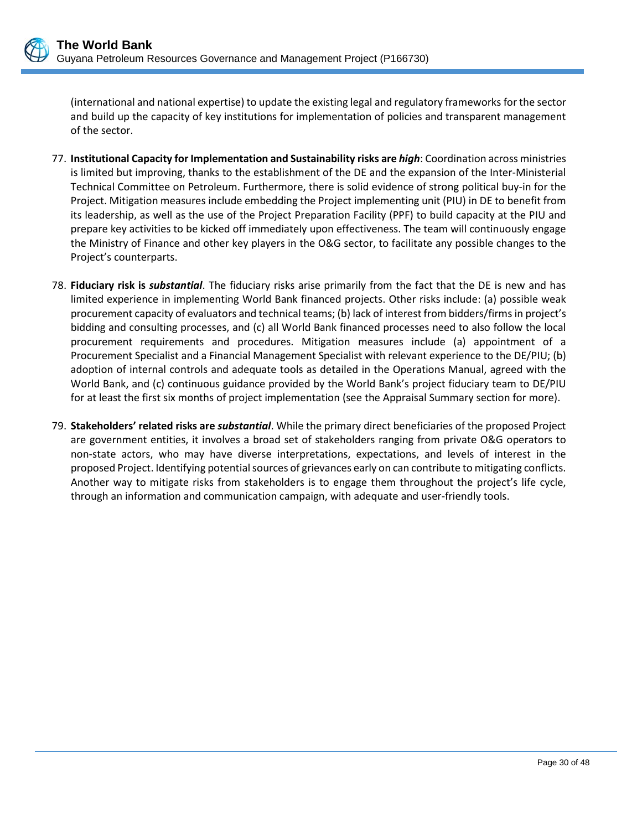

(international and national expertise) to update the existing legal and regulatory frameworks for the sector and build up the capacity of key institutions for implementation of policies and transparent management of the sector.

- 77. **Institutional Capacity for Implementation and Sustainability risks are** *high*: Coordination across ministries is limited but improving, thanks to the establishment of the DE and the expansion of the Inter-Ministerial Technical Committee on Petroleum. Furthermore, there is solid evidence of strong political buy-in for the Project. Mitigation measures include embedding the Project implementing unit (PIU) in DE to benefit from its leadership, as well as the use of the Project Preparation Facility (PPF) to build capacity at the PIU and prepare key activities to be kicked off immediately upon effectiveness. The team will continuously engage the Ministry of Finance and other key players in the O&G sector, to facilitate any possible changes to the Project's counterparts.
- 78. **Fiduciary risk is** *substantial*. The fiduciary risks arise primarily from the fact that the DE is new and has limited experience in implementing World Bank financed projects. Other risks include: (a) possible weak procurement capacity of evaluators and technical teams; (b) lack of interest from bidders/firms in project's bidding and consulting processes, and (c) all World Bank financed processes need to also follow the local procurement requirements and procedures. Mitigation measures include (a) appointment of a Procurement Specialist and a Financial Management Specialist with relevant experience to the DE/PIU; (b) adoption of internal controls and adequate tools as detailed in the Operations Manual, agreed with the World Bank, and (c) continuous guidance provided by the World Bank's project fiduciary team to DE/PIU for at least the first six months of project implementation (see the Appraisal Summary section for more).
- 79. **Stakeholders' related risks are** *substantial*. While the primary direct beneficiaries of the proposed Project are government entities, it involves a broad set of stakeholders ranging from private O&G operators to non-state actors, who may have diverse interpretations, expectations, and levels of interest in the proposed Project. Identifying potential sources of grievances early on can contribute to mitigating conflicts. Another way to mitigate risks from stakeholders is to engage them throughout the project's life cycle, through an information and communication campaign, with adequate and user-friendly tools.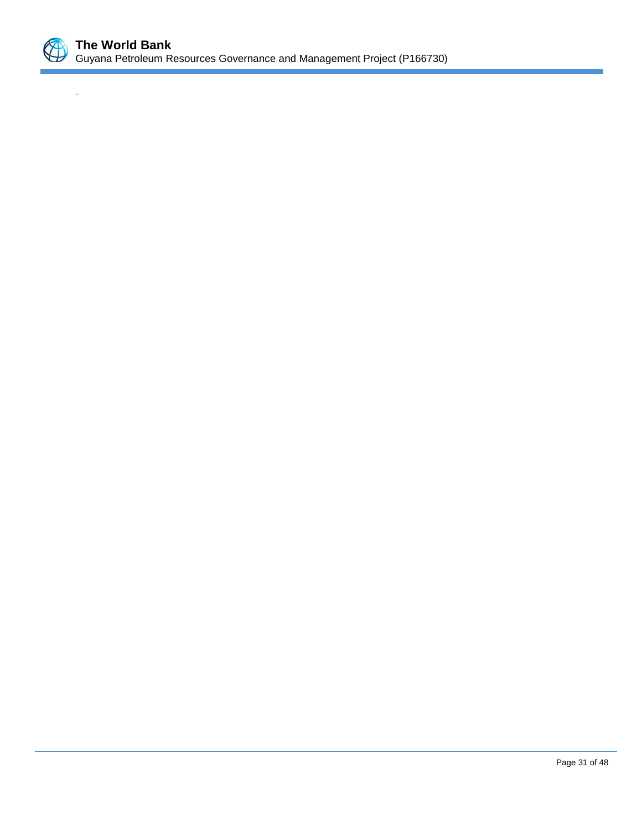

.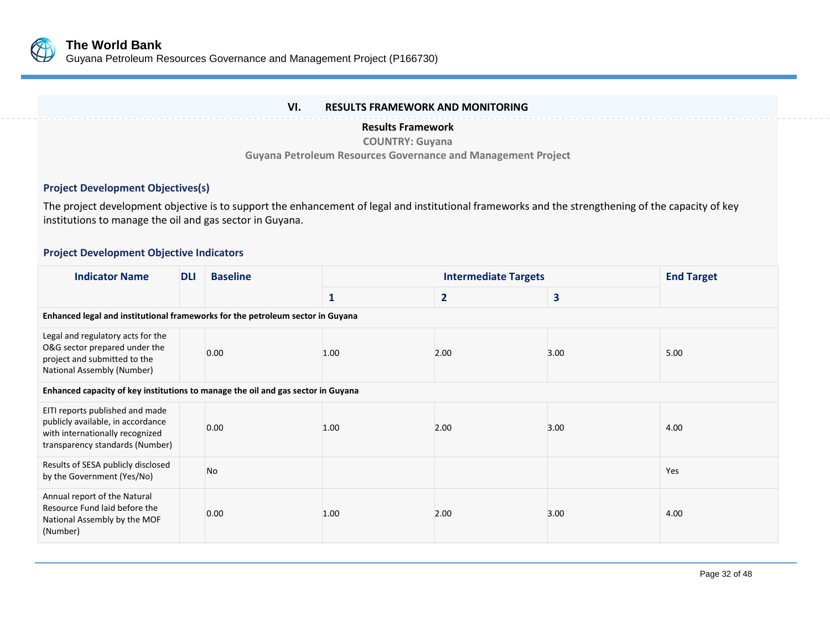

# **VI. RESULTS FRAMEWORK AND MONITORING**

#### **Results Framework**

**COUNTRY: Guyana**

**Guyana Petroleum Resources Governance and Management Project**

# **Project Development Objectives(s)**

The project development objective is to support the enhancement of legal and institutional frameworks and the strengthening of the capacity of key institutions to manage the oil and gas sector in Guyana.

#### **Project Development Objective Indicators**

<span id="page-36-0"></span>

| <b>Indicator Name</b>                                                                                                                      | <b>DLI</b> | <b>Baseline</b> | <b>Intermediate Targets</b> |                |                         | <b>End Target</b> |  |
|--------------------------------------------------------------------------------------------------------------------------------------------|------------|-----------------|-----------------------------|----------------|-------------------------|-------------------|--|
|                                                                                                                                            |            |                 | 1                           | $\overline{2}$ | $\overline{\mathbf{3}}$ |                   |  |
| Enhanced legal and institutional frameworks for the petroleum sector in Guyana                                                             |            |                 |                             |                |                         |                   |  |
| Legal and regulatory acts for the<br>O&G sector prepared under the<br>project and submitted to the<br>National Assembly (Number)           |            | 0.00            | 1.00                        | 2.00           | 3.00                    | 5.00              |  |
| Enhanced capacity of key institutions to manage the oil and gas sector in Guyana                                                           |            |                 |                             |                |                         |                   |  |
| EITI reports published and made<br>publicly available, in accordance<br>with internationally recognized<br>transparency standards (Number) |            | 0.00            | 1.00                        | 2.00           | 3.00                    | 4.00              |  |
| Results of SESA publicly disclosed<br>by the Government (Yes/No)                                                                           |            | No              |                             |                |                         | Yes               |  |
| Annual report of the Natural<br>Resource Fund laid before the<br>National Assembly by the MOF<br>(Number)                                  |            | 0.00            | 1.00                        | 2.00           | 3.00                    | 4.00              |  |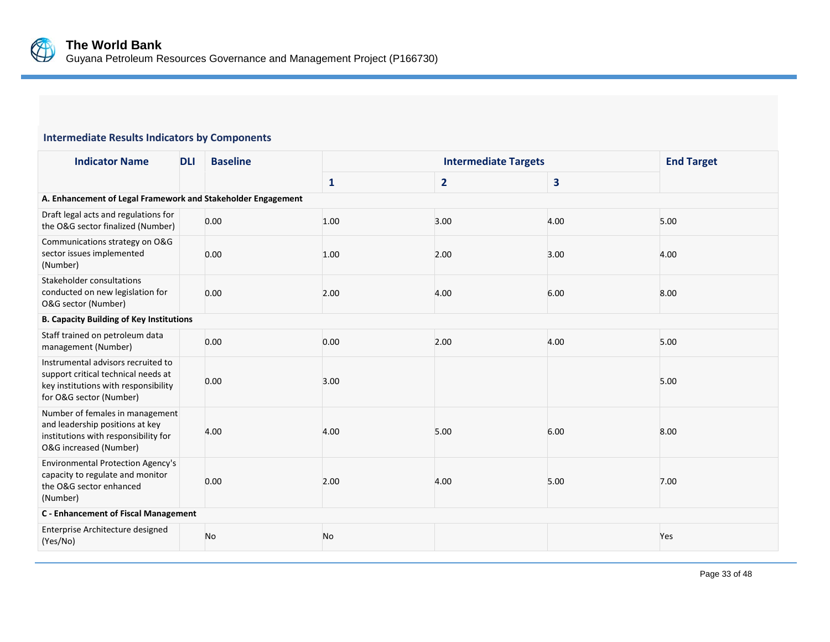

# **Intermediate Results Indicators by Components**

| <b>Indicator Name</b>                                                                                                                        | <b>DLI</b> | <b>Baseline</b> | <b>Intermediate Targets</b> |                |      | <b>End Target</b> |
|----------------------------------------------------------------------------------------------------------------------------------------------|------------|-----------------|-----------------------------|----------------|------|-------------------|
|                                                                                                                                              |            |                 | $\mathbf{1}$                | $\overline{2}$ | 3    |                   |
| A. Enhancement of Legal Framework and Stakeholder Engagement                                                                                 |            |                 |                             |                |      |                   |
| Draft legal acts and regulations for<br>the O&G sector finalized (Number)                                                                    |            | 0.00            | 1.00                        | 3.00           | 4.00 | 5.00              |
| Communications strategy on O&G<br>sector issues implemented<br>(Number)                                                                      |            | 0.00            | 1.00                        | 2.00           | 3.00 | 4.00              |
| Stakeholder consultations<br>conducted on new legislation for<br>O&G sector (Number)                                                         |            | 0.00            | 2.00                        | 4.00           | 6.00 | 8.00              |
| <b>B. Capacity Building of Key Institutions</b>                                                                                              |            |                 |                             |                |      |                   |
| Staff trained on petroleum data<br>management (Number)                                                                                       |            | 0.00            | 0.00                        | 2.00           | 4.00 | 5.00              |
| Instrumental advisors recruited to<br>support critical technical needs at<br>key institutions with responsibility<br>for O&G sector (Number) |            | 0.00            | 3.00                        |                |      | 5.00              |
| Number of females in management<br>and leadership positions at key<br>institutions with responsibility for<br>O&G increased (Number)         |            | 4.00            | 4.00                        | 5.00           | 6.00 | 8.00              |
| <b>Environmental Protection Agency's</b><br>capacity to regulate and monitor<br>the O&G sector enhanced<br>(Number)                          |            | 0.00            | 2.00                        | 4.00           | 5.00 | 7.00              |
| <b>C</b> - Enhancement of Fiscal Management                                                                                                  |            |                 |                             |                |      |                   |
| Enterprise Architecture designed<br>(Yes/No)                                                                                                 |            | No              | No                          |                |      | Yes               |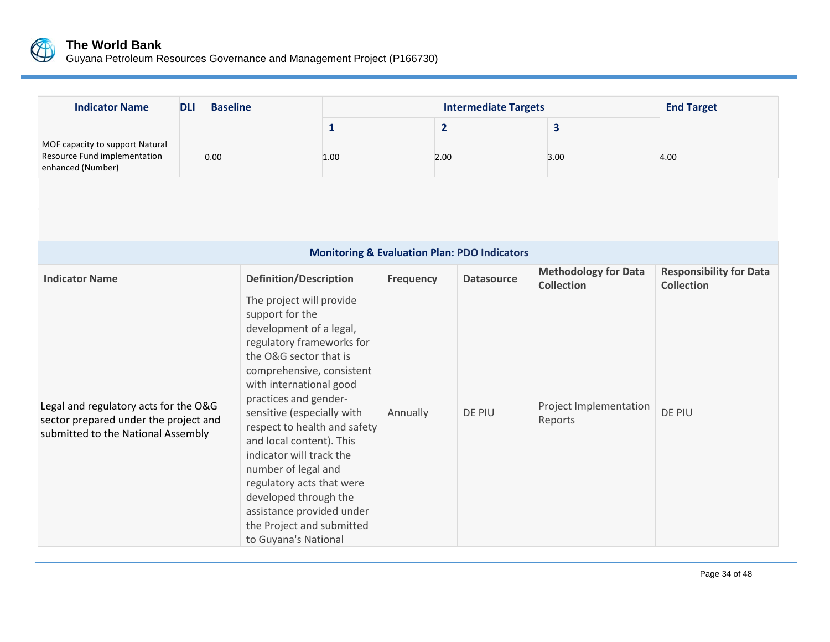

Guyana Petroleum Resources Governance and Management Project (P166730)

| <b>Indicator Name</b>                                                                                                | <b>DLI</b> | <b>Baseline</b>                                                                                                                                                                                                                                                                                                                                                                                                                                                                                     |              | <b>End Target</b> |                                                         |                                                  |                                                     |
|----------------------------------------------------------------------------------------------------------------------|------------|-----------------------------------------------------------------------------------------------------------------------------------------------------------------------------------------------------------------------------------------------------------------------------------------------------------------------------------------------------------------------------------------------------------------------------------------------------------------------------------------------------|--------------|-------------------|---------------------------------------------------------|--------------------------------------------------|-----------------------------------------------------|
|                                                                                                                      |            |                                                                                                                                                                                                                                                                                                                                                                                                                                                                                                     | $\mathbf{1}$ | $\overline{2}$    |                                                         | 3                                                |                                                     |
| MOF capacity to support Natural<br>Resource Fund implementation<br>enhanced (Number)                                 |            | 0.00                                                                                                                                                                                                                                                                                                                                                                                                                                                                                                | 1.00         | 2.00              |                                                         | 3.00                                             | 4.00                                                |
|                                                                                                                      |            |                                                                                                                                                                                                                                                                                                                                                                                                                                                                                                     |              |                   | <b>Monitoring &amp; Evaluation Plan: PDO Indicators</b> |                                                  |                                                     |
| <b>Indicator Name</b>                                                                                                |            | <b>Definition/Description</b>                                                                                                                                                                                                                                                                                                                                                                                                                                                                       |              | <b>Frequency</b>  | <b>Datasource</b>                                       | <b>Methodology for Data</b><br><b>Collection</b> | <b>Responsibility for Data</b><br><b>Collection</b> |
| Legal and regulatory acts for the O&G<br>sector prepared under the project and<br>submitted to the National Assembly |            | The project will provide<br>support for the<br>development of a legal,<br>regulatory frameworks for<br>the O&G sector that is<br>comprehensive, consistent<br>with international good<br>practices and gender-<br>sensitive (especially with<br>respect to health and safety<br>and local content). This<br>indicator will track the<br>number of legal and<br>regulatory acts that were<br>developed through the<br>assistance provided under<br>the Project and submitted<br>to Guyana's National |              | Annually          | DE PIU                                                  | Project Implementation<br>Reports                | DE PIU                                              |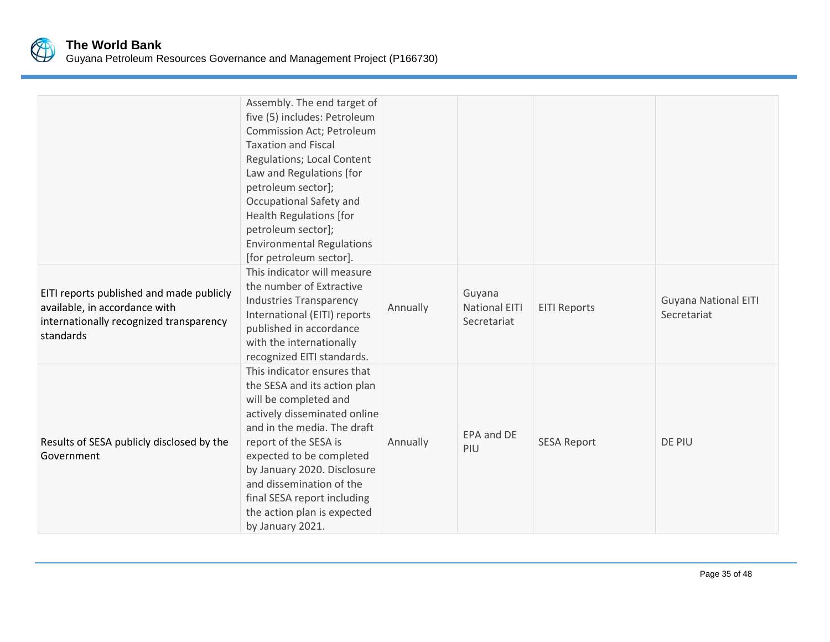

|                                                                                                                                   | Assembly. The end target of<br>five (5) includes: Petroleum<br>Commission Act; Petroleum<br><b>Taxation and Fiscal</b><br><b>Regulations; Local Content</b><br>Law and Regulations [for<br>petroleum sector];<br>Occupational Safety and<br><b>Health Regulations [for</b><br>petroleum sector];<br><b>Environmental Regulations</b><br>[for petroleum sector]. |          |                                               |                     |                                            |
|-----------------------------------------------------------------------------------------------------------------------------------|-----------------------------------------------------------------------------------------------------------------------------------------------------------------------------------------------------------------------------------------------------------------------------------------------------------------------------------------------------------------|----------|-----------------------------------------------|---------------------|--------------------------------------------|
| EITI reports published and made publicly<br>available, in accordance with<br>internationally recognized transparency<br>standards | This indicator will measure<br>the number of Extractive<br><b>Industries Transparency</b><br>International (EITI) reports<br>published in accordance<br>with the internationally<br>recognized EITI standards.                                                                                                                                                  | Annually | Guyana<br><b>National EITI</b><br>Secretariat | <b>EITI Reports</b> | <b>Guyana National EITI</b><br>Secretariat |
| Results of SESA publicly disclosed by the<br>Government                                                                           | This indicator ensures that<br>the SESA and its action plan<br>will be completed and<br>actively disseminated online<br>and in the media. The draft<br>report of the SESA is<br>expected to be completed<br>by January 2020. Disclosure<br>and dissemination of the<br>final SESA report including<br>the action plan is expected<br>by January 2021.           | Annually | EPA and DE<br>PIU                             | <b>SESA Report</b>  | DE PIU                                     |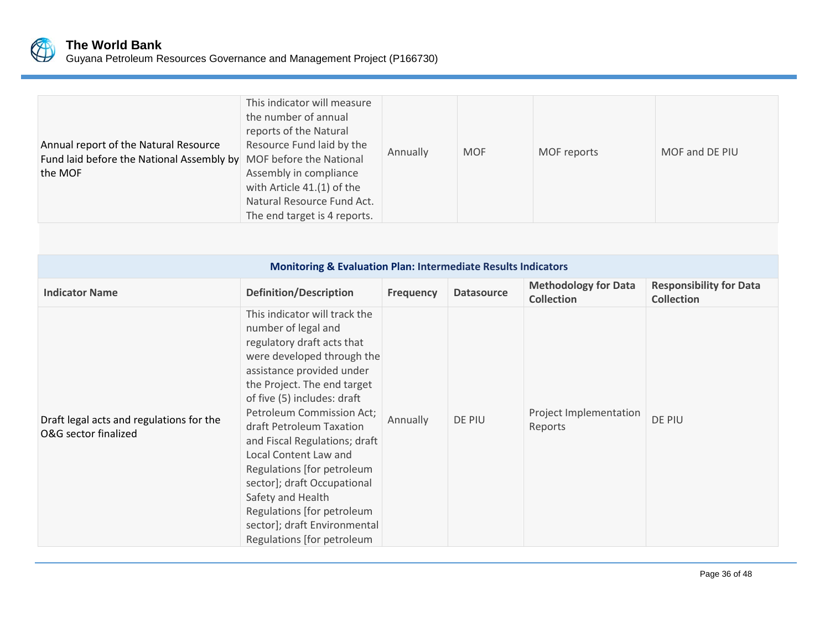

| Annual report of the Natural Resource<br>Fund laid before the National Assembly by<br>the MOF | This indicator will measure<br>the number of annual<br>reports of the Natural<br>Resource Fund laid by the<br>MOF before the National<br>Assembly in compliance<br>with Article 41.(1) of the<br>Natural Resource Fund Act.<br>The end target is 4 reports.                                                                                                                                                                                                                                                         | Annually         | <b>MOF</b>        | MOF reports                                      | MOF and DE PIU                                      |
|-----------------------------------------------------------------------------------------------|---------------------------------------------------------------------------------------------------------------------------------------------------------------------------------------------------------------------------------------------------------------------------------------------------------------------------------------------------------------------------------------------------------------------------------------------------------------------------------------------------------------------|------------------|-------------------|--------------------------------------------------|-----------------------------------------------------|
|                                                                                               |                                                                                                                                                                                                                                                                                                                                                                                                                                                                                                                     |                  |                   |                                                  |                                                     |
|                                                                                               | <b>Monitoring &amp; Evaluation Plan: Intermediate Results Indicators</b>                                                                                                                                                                                                                                                                                                                                                                                                                                            |                  |                   |                                                  |                                                     |
| <b>Indicator Name</b>                                                                         | <b>Definition/Description</b>                                                                                                                                                                                                                                                                                                                                                                                                                                                                                       | <b>Frequency</b> | <b>Datasource</b> | <b>Methodology for Data</b><br><b>Collection</b> | <b>Responsibility for Data</b><br><b>Collection</b> |
| Draft legal acts and regulations for the<br>O&G sector finalized                              | This indicator will track the<br>number of legal and<br>regulatory draft acts that<br>were developed through the<br>assistance provided under<br>the Project. The end target<br>of five (5) includes: draft<br>Petroleum Commission Act;<br>draft Petroleum Taxation<br>and Fiscal Regulations; draft<br><b>Local Content Law and</b><br>Regulations [for petroleum<br>sector]; draft Occupational<br>Safety and Health<br>Regulations [for petroleum<br>sector]; draft Environmental<br>Regulations [for petroleum | Annually         | DE PIU            | Project Implementation<br>Reports                | DE PIU                                              |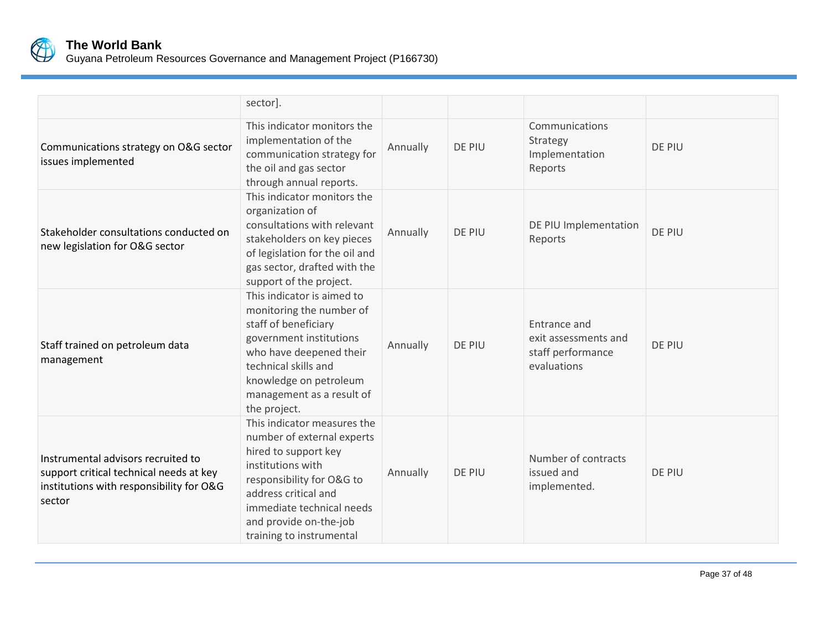

Guyana Petroleum Resources Governance and Management Project (P166730)

|                                                                                                                                     | sector].                                                                                                                                                                                                                                       |          |        |                                                                          |        |
|-------------------------------------------------------------------------------------------------------------------------------------|------------------------------------------------------------------------------------------------------------------------------------------------------------------------------------------------------------------------------------------------|----------|--------|--------------------------------------------------------------------------|--------|
| Communications strategy on O&G sector<br>issues implemented                                                                         | This indicator monitors the<br>implementation of the<br>communication strategy for<br>the oil and gas sector<br>through annual reports.                                                                                                        | Annually | DE PIU | Communications<br>Strategy<br>Implementation<br>Reports                  | DE PIU |
| Stakeholder consultations conducted on<br>new legislation for O&G sector                                                            | This indicator monitors the<br>organization of<br>consultations with relevant<br>stakeholders on key pieces<br>of legislation for the oil and<br>gas sector, drafted with the<br>support of the project.                                       | Annually | DE PIU | DE PIU Implementation<br>Reports                                         | DE PIU |
| Staff trained on petroleum data<br>management                                                                                       | This indicator is aimed to<br>monitoring the number of<br>staff of beneficiary<br>government institutions<br>who have deepened their<br>technical skills and<br>knowledge on petroleum<br>management as a result of<br>the project.            | Annually | DE PIU | Entrance and<br>exit assessments and<br>staff performance<br>evaluations | DE PIU |
| Instrumental advisors recruited to<br>support critical technical needs at key<br>institutions with responsibility for O&G<br>sector | This indicator measures the<br>number of external experts<br>hired to support key<br>institutions with<br>responsibility for O&G to<br>address critical and<br>immediate technical needs<br>and provide on-the-job<br>training to instrumental | Annually | DE PIU | Number of contracts<br>issued and<br>implemented.                        | DE PIU |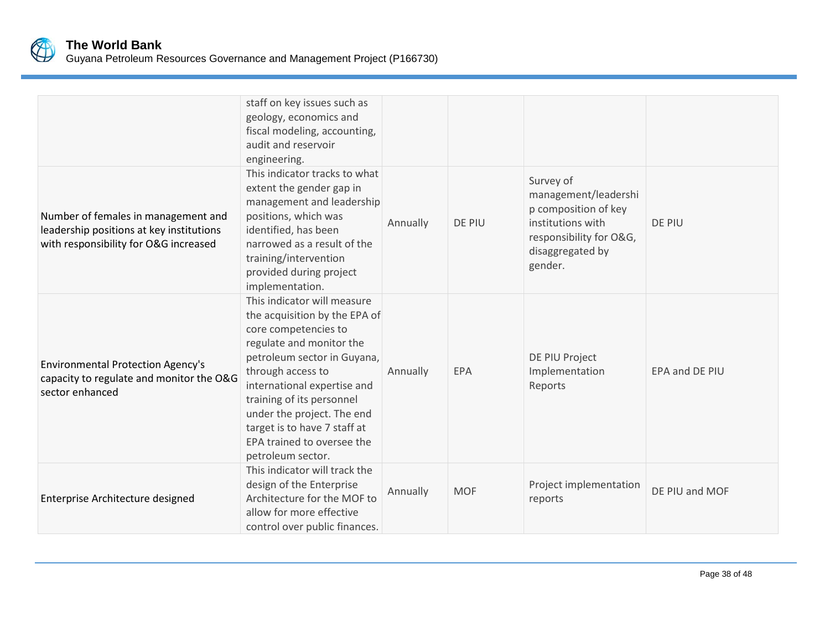

Guyana Petroleum Resources Governance and Management Project (P166730)

|                                                                                                                          | staff on key issues such as<br>geology, economics and<br>fiscal modeling, accounting,<br>audit and reservoir<br>engineering.                                                                                                                                                                                                                      |          |            |                                                                                                                                          |                |
|--------------------------------------------------------------------------------------------------------------------------|---------------------------------------------------------------------------------------------------------------------------------------------------------------------------------------------------------------------------------------------------------------------------------------------------------------------------------------------------|----------|------------|------------------------------------------------------------------------------------------------------------------------------------------|----------------|
| Number of females in management and<br>leadership positions at key institutions<br>with responsibility for O&G increased | This indicator tracks to what<br>extent the gender gap in<br>management and leadership<br>positions, which was<br>identified, has been<br>narrowed as a result of the<br>training/intervention<br>provided during project<br>implementation.                                                                                                      | Annually | DE PIU     | Survey of<br>management/leadershi<br>p composition of key<br>institutions with<br>responsibility for O&G,<br>disaggregated by<br>gender. | DE PIU         |
| <b>Environmental Protection Agency's</b><br>capacity to regulate and monitor the O&G<br>sector enhanced                  | This indicator will measure<br>the acquisition by the EPA of<br>core competencies to<br>regulate and monitor the<br>petroleum sector in Guyana,<br>through access to<br>international expertise and<br>training of its personnel<br>under the project. The end<br>target is to have 7 staff at<br>EPA trained to oversee the<br>petroleum sector. | Annually | EPA        | DE PIU Project<br>Implementation<br>Reports                                                                                              | EPA and DE PIU |
| Enterprise Architecture designed                                                                                         | This indicator will track the<br>design of the Enterprise<br>Architecture for the MOF to<br>allow for more effective<br>control over public finances.                                                                                                                                                                                             | Annually | <b>MOF</b> | Project implementation<br>reports                                                                                                        | DE PIU and MOF |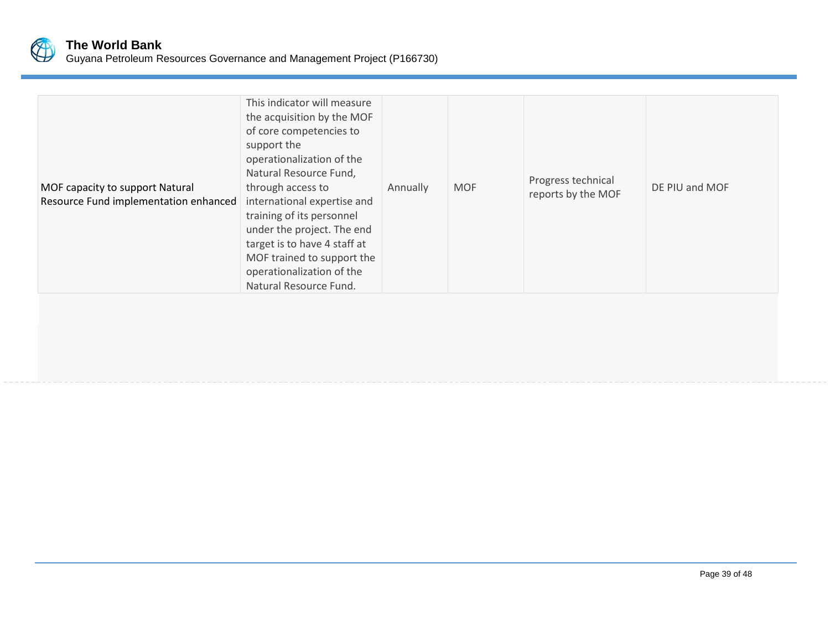

| MOF capacity to support Natural<br>Resource Fund implementation enhanced | This indicator will measure<br>the acquisition by the MOF<br>of core competencies to<br>support the<br>operationalization of the<br>Natural Resource Fund,<br>through access to<br>international expertise and<br>training of its personnel<br>under the project. The end<br>target is to have 4 staff at<br>MOF trained to support the<br>operationalization of the<br>Natural Resource Fund. | Annually | <b>MOF</b> | Progress technical<br>reports by the MOF | DE PIU and MOF |
|--------------------------------------------------------------------------|------------------------------------------------------------------------------------------------------------------------------------------------------------------------------------------------------------------------------------------------------------------------------------------------------------------------------------------------------------------------------------------------|----------|------------|------------------------------------------|----------------|
|--------------------------------------------------------------------------|------------------------------------------------------------------------------------------------------------------------------------------------------------------------------------------------------------------------------------------------------------------------------------------------------------------------------------------------------------------------------------------------|----------|------------|------------------------------------------|----------------|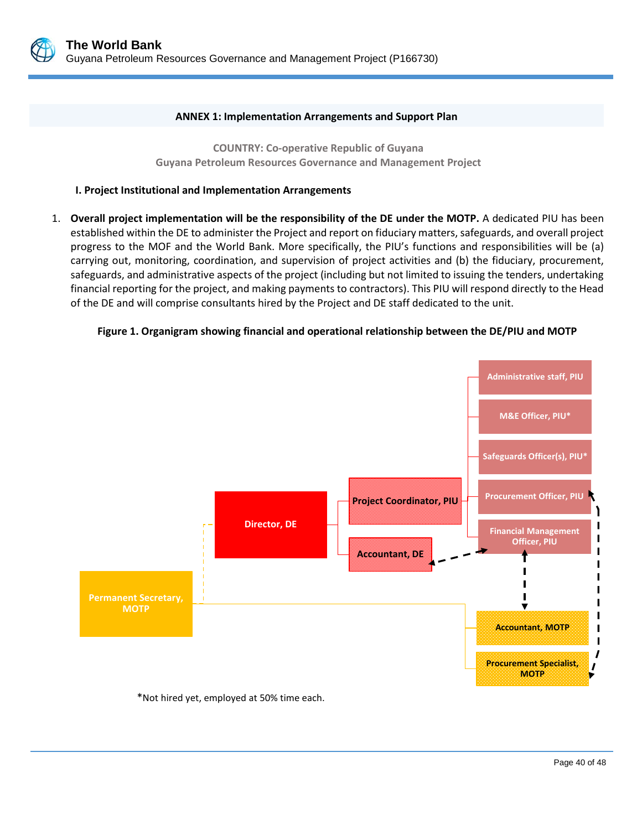

#### **ANNEX 1: Implementation Arrangements and Support Plan**

**COUNTRY: Co-operative Republic of Guyana Guyana Petroleum Resources Governance and Management Project**

#### **I. Project Institutional and Implementation Arrangements**

1. **Overall project implementation will be the responsibility of the DE under the MOTP.** A dedicated PIU has been established within the DE to administer the Project and report on fiduciary matters, safeguards, and overall project progress to the MOF and the World Bank. More specifically, the PIU's functions and responsibilities will be (a) carrying out, monitoring, coordination, and supervision of project activities and (b) the fiduciary, procurement, safeguards, and administrative aspects of the project (including but not limited to issuing the tenders, undertaking financial reporting for the project, and making payments to contractors). This PIU will respond directly to the Head of the DE and will comprise consultants hired by the Project and DE staff dedicated to the unit.

#### **Figure 1. Organigram showing financial and operational relationship between the DE/PIU and MOTP**



\*Not hired yet, employed at 50% time each.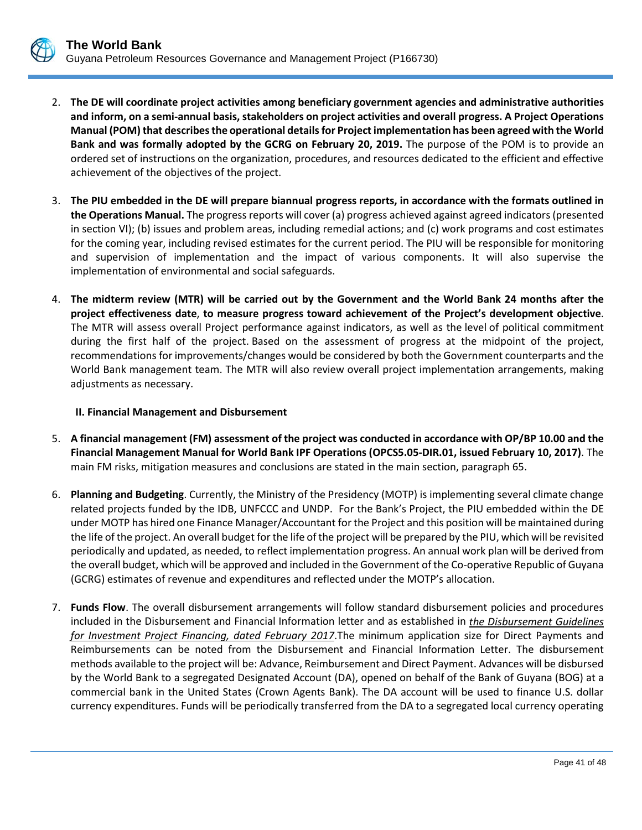

- 2. **The DE will coordinate project activities among beneficiary government agencies and administrative authorities and inform, on a semi-annual basis, stakeholders on project activities and overall progress. A Project Operations Manual (POM) that describes the operational details for Project implementation has been agreed with the World Bank and was formally adopted by the GCRG on February 20, 2019.** The purpose of the POM is to provide an ordered set of instructions on the organization, procedures, and resources dedicated to the efficient and effective achievement of the objectives of the project.
- 3. **The PIU embedded in the DE will prepare biannual progress reports, in accordance with the formats outlined in the Operations Manual.** The progress reports will cover (a) progress achieved against agreed indicators (presented in section VI); (b) issues and problem areas, including remedial actions; and (c) work programs and cost estimates for the coming year, including revised estimates for the current period. The PIU will be responsible for monitoring and supervision of implementation and the impact of various components. It will also supervise the implementation of environmental and social safeguards.
- 4. **The midterm review (MTR) will be carried out by the Government and the World Bank 24 months after the project effectiveness date**, **to measure progress toward achievement of the Project's development objective**. The MTR will assess overall Project performance against indicators, as well as the level of political commitment during the first half of the project. Based on the assessment of progress at the midpoint of the project, recommendations for improvements/changes would be considered by both the Government counterparts and the World Bank management team. The MTR will also review overall project implementation arrangements, making adjustments as necessary.

#### **II. Financial Management and Disbursement**

- 5. **A financial management (FM) assessment of the project was conducted in accordance with OP/BP 10.00 and the Financial Management Manual for World Bank IPF Operations (OPCS5.05-DIR.01, issued February 10, 2017)**. The main FM risks, mitigation measures and conclusions are stated in the main section, paragraph 65.
- 6. **Planning and Budgeting**. Currently, the Ministry of the Presidency (MOTP) is implementing several climate change related projects funded by the IDB, UNFCCC and UNDP. For the Bank's Project, the PIU embedded within the DE under MOTP has hired one Finance Manager/Accountant for the Project and this position will be maintained during the life of the project. An overall budget for the life of the project will be prepared by the PIU, which will be revisited periodically and updated, as needed, to reflect implementation progress. An annual work plan will be derived from the overall budget, which will be approved and included in the Government of the Co-operative Republic of Guyana (GCRG) estimates of revenue and expenditures and reflected under the MOTP's allocation.
- 7. **Funds Flow**. The overall disbursement arrangements will follow standard disbursement policies and procedures included in the Disbursement and Financial Information letter and as established in *[the Disbursement Guidelines](https://spappscsec.worldbank.org/sites/ppf3/PPFDocuments/Forms/DispPage.aspx?docid=c8902d53-c3b3-4af0-8eb2-3ad0755ad0af)  [for Investment Project Financing, dated February 2017](https://spappscsec.worldbank.org/sites/ppf3/PPFDocuments/Forms/DispPage.aspx?docid=c8902d53-c3b3-4af0-8eb2-3ad0755ad0af)*.The minimum application size for Direct Payments and Reimbursements can be noted from the Disbursement and Financial Information Letter. The disbursement methods available to the project will be: Advance, Reimbursement and Direct Payment. Advances will be disbursed by the World Bank to a segregated Designated Account (DA), opened on behalf of the Bank of Guyana (BOG) at a commercial bank in the United States (Crown Agents Bank). The DA account will be used to finance U.S. dollar currency expenditures. Funds will be periodically transferred from the DA to a segregated local currency operating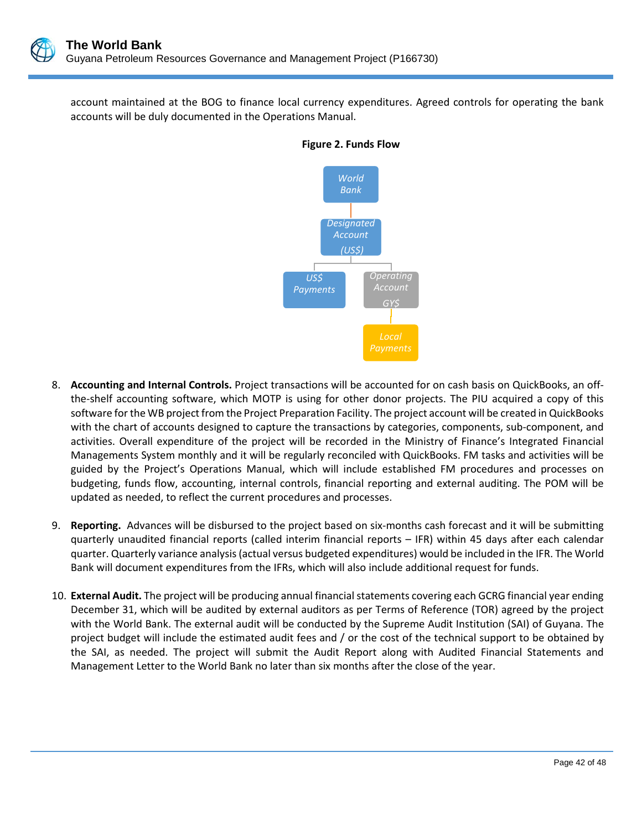account maintained at the BOG to finance local currency expenditures. Agreed controls for operating the bank accounts will be duly documented in the Operations Manual.



## **Figure 2. Funds Flow**

- 8. **Accounting and Internal Controls.** Project transactions will be accounted for on cash basis on QuickBooks, an offthe-shelf accounting software, which MOTP is using for other donor projects. The PIU acquired a copy of this software for the WB project from the Project Preparation Facility. The project account will be created in QuickBooks with the chart of accounts designed to capture the transactions by categories, components, sub-component, and activities. Overall expenditure of the project will be recorded in the Ministry of Finance's Integrated Financial Managements System monthly and it will be regularly reconciled with QuickBooks. FM tasks and activities will be guided by the Project's Operations Manual, which will include established FM procedures and processes on budgeting, funds flow, accounting, internal controls, financial reporting and external auditing. The POM will be updated as needed, to reflect the current procedures and processes.
- 9. **Reporting.** Advances will be disbursed to the project based on six-months cash forecast and it will be submitting quarterly unaudited financial reports (called interim financial reports – IFR) within 45 days after each calendar quarter. Quarterly variance analysis (actual versus budgeted expenditures) would be included in the IFR. The World Bank will document expenditures from the IFRs, which will also include additional request for funds.
- 10. **External Audit.** The project will be producing annual financial statements covering each GCRG financial year ending December 31, which will be audited by external auditors as per Terms of Reference (TOR) agreed by the project with the World Bank. The external audit will be conducted by the Supreme Audit Institution (SAI) of Guyana. The project budget will include the estimated audit fees and / or the cost of the technical support to be obtained by the SAI, as needed. The project will submit the Audit Report along with Audited Financial Statements and Management Letter to the World Bank no later than six months after the close of the year.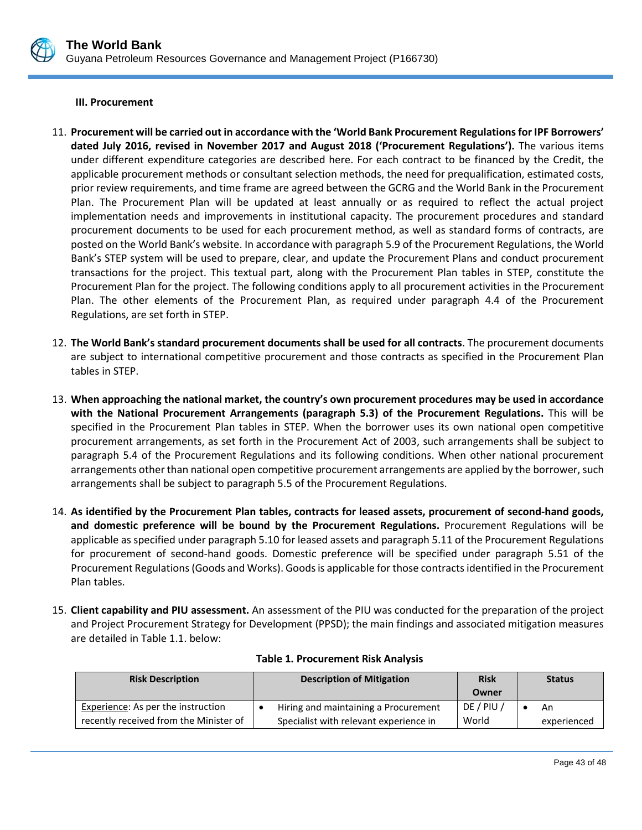

#### **III. Procurement**

- 11. **Procurement will be carried out in accordance with the 'World Bank Procurement Regulations for IPF Borrowers' dated July 2016, revised in November 2017 and August 2018 ('Procurement Regulations').** The various items under different expenditure categories are described here. For each contract to be financed by the Credit, the applicable procurement methods or consultant selection methods, the need for prequalification, estimated costs, prior review requirements, and time frame are agreed between the GCRG and the World Bank in the Procurement Plan. The Procurement Plan will be updated at least annually or as required to reflect the actual project implementation needs and improvements in institutional capacity. The procurement procedures and standard procurement documents to be used for each procurement method, as well as standard forms of contracts, are posted on the World Bank's website. In accordance with paragraph 5.9 of the Procurement Regulations, the World Bank's STEP system will be used to prepare, clear, and update the Procurement Plans and conduct procurement transactions for the project. This textual part, along with the Procurement Plan tables in STEP, constitute the Procurement Plan for the project. The following conditions apply to all procurement activities in the Procurement Plan. The other elements of the Procurement Plan, as required under paragraph 4.4 of the Procurement Regulations, are set forth in STEP.
- 12. **The World Bank's standard procurement documents shall be used for all contracts**. The procurement documents are subject to international competitive procurement and those contracts as specified in the Procurement Plan tables in STEP.
- 13. **When approaching the national market, the country's own procurement procedures may be used in accordance with the National Procurement Arrangements (paragraph 5.3) of the Procurement Regulations.** This will be specified in the Procurement Plan tables in STEP. When the borrower uses its own national open competitive procurement arrangements, as set forth in the Procurement Act of 2003, such arrangements shall be subject to paragraph 5.4 of the Procurement Regulations and its following conditions. When other national procurement arrangements other than national open competitive procurement arrangements are applied by the borrower, such arrangements shall be subject to paragraph 5.5 of the Procurement Regulations.
- 14. **As identified by the Procurement Plan tables, contracts for leased assets, procurement of second-hand goods, and domestic preference will be bound by the Procurement Regulations.** Procurement Regulations will be applicable as specified under paragraph 5.10 for leased assets and paragraph 5.11 of the Procurement Regulations for procurement of second-hand goods. Domestic preference will be specified under paragraph 5.51 of the Procurement Regulations (Goods and Works). Goods is applicable for those contracts identified in the Procurement Plan tables.
- 15. **Client capability and PIU assessment.** An assessment of the PIU was conducted for the preparation of the project and Project Procurement Strategy for Development (PPSD); the main findings and associated mitigation measures are detailed in Table 1.1. below:

| <b>Risk Description</b>                                                             | <b>Description of Mitigation</b>                                               | <b>Risk</b>       | <b>Status</b>     |
|-------------------------------------------------------------------------------------|--------------------------------------------------------------------------------|-------------------|-------------------|
|                                                                                     |                                                                                | Owner             |                   |
| <b>Experience:</b> As per the instruction<br>recently received from the Minister of | Hiring and maintaining a Procurement<br>Specialist with relevant experience in | DE / PIU<br>World | An<br>experienced |

## **Table 1. Procurement Risk Analysis**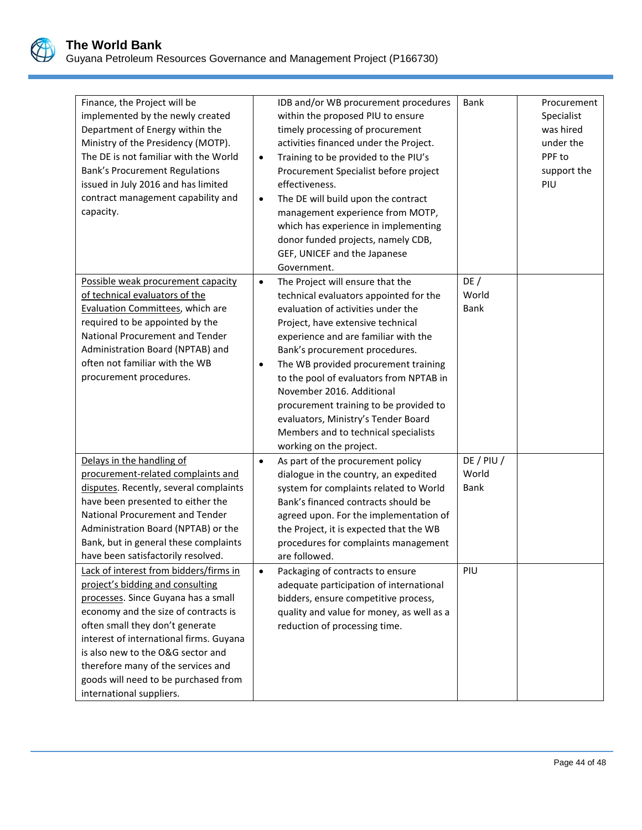

| Finance, the Project will be<br>implemented by the newly created<br>Department of Energy within the<br>Ministry of the Presidency (MOTP).<br>The DE is not familiar with the World<br><b>Bank's Procurement Regulations</b><br>issued in July 2016 and has limited<br>contract management capability and<br>capacity.                                                                                                                                                                                                                                                                                                                                                                             | IDB and/or WB procurement procedures<br>within the proposed PIU to ensure<br>timely processing of procurement<br>activities financed under the Project.<br>Training to be provided to the PIU's<br>$\bullet$<br>Procurement Specialist before project<br>effectiveness.<br>The DE will build upon the contract<br>$\bullet$<br>management experience from MOTP,<br>which has experience in implementing<br>donor funded projects, namely CDB,<br>GEF, UNICEF and the Japanese                                                                | <b>Bank</b>                               | Procurement<br>Specialist<br>was hired<br>under the<br>PPF to<br>support the<br>PIU |
|---------------------------------------------------------------------------------------------------------------------------------------------------------------------------------------------------------------------------------------------------------------------------------------------------------------------------------------------------------------------------------------------------------------------------------------------------------------------------------------------------------------------------------------------------------------------------------------------------------------------------------------------------------------------------------------------------|----------------------------------------------------------------------------------------------------------------------------------------------------------------------------------------------------------------------------------------------------------------------------------------------------------------------------------------------------------------------------------------------------------------------------------------------------------------------------------------------------------------------------------------------|-------------------------------------------|-------------------------------------------------------------------------------------|
| Possible weak procurement capacity<br>of technical evaluators of the<br>Evaluation Committees, which are<br>required to be appointed by the<br>National Procurement and Tender<br>Administration Board (NPTAB) and<br>often not familiar with the WB<br>procurement procedures.                                                                                                                                                                                                                                                                                                                                                                                                                   | Government.<br>The Project will ensure that the<br>$\bullet$<br>technical evaluators appointed for the<br>evaluation of activities under the<br>Project, have extensive technical<br>experience and are familiar with the<br>Bank's procurement procedures.<br>The WB provided procurement training<br>$\bullet$<br>to the pool of evaluators from NPTAB in<br>November 2016. Additional<br>procurement training to be provided to<br>evaluators, Ministry's Tender Board<br>Members and to technical specialists<br>working on the project. | DE/<br>World<br><b>Bank</b>               |                                                                                     |
| Delays in the handling of<br>procurement-related complaints and<br>disputes. Recently, several complaints<br>have been presented to either the<br>National Procurement and Tender<br>Administration Board (NPTAB) or the<br>Bank, but in general these complaints<br>have been satisfactorily resolved.<br>Lack of interest from bidders/firms in<br>project's bidding and consulting<br>processes. Since Guyana has a small<br>economy and the size of contracts is<br>often small they don't generate<br>interest of international firms. Guyana<br>is also new to the O&G sector and<br>therefore many of the services and<br>goods will need to be purchased from<br>international suppliers. | As part of the procurement policy<br>$\bullet$<br>dialogue in the country, an expedited<br>system for complaints related to World<br>Bank's financed contracts should be<br>agreed upon. For the implementation of<br>the Project, it is expected that the WB<br>procedures for complaints management<br>are followed.<br>Packaging of contracts to ensure<br>$\bullet$<br>adequate participation of international<br>bidders, ensure competitive process,<br>quality and value for money, as well as a<br>reduction of processing time.     | DE / PIU /<br>World<br><b>Bank</b><br>PIU |                                                                                     |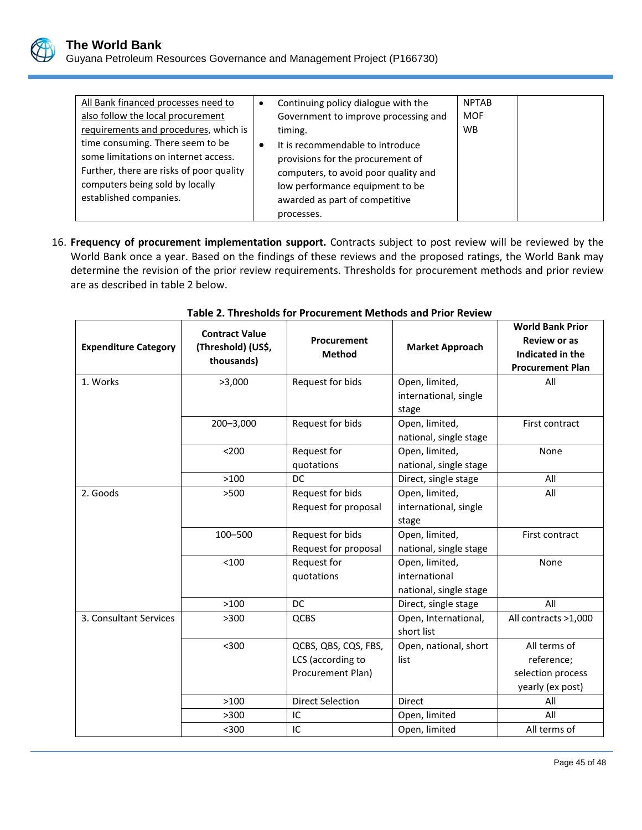

| All Bank financed processes need to<br>also follow the local procurement<br>requirements and procedures, which is<br>time consuming. There seem to be<br>some limitations on internet access.<br>Further, there are risks of poor quality<br>computers being sold by locally<br>established companies. | Continuing policy dialogue with the<br>$\bullet$<br>Government to improve processing and<br>timing.<br>It is recommendable to introduce<br>provisions for the procurement of<br>computers, to avoid poor quality and<br>low performance equipment to be<br>awarded as part of competitive<br>processes. | <b>NPTAB</b><br><b>MOF</b><br><b>WB</b> |
|--------------------------------------------------------------------------------------------------------------------------------------------------------------------------------------------------------------------------------------------------------------------------------------------------------|---------------------------------------------------------------------------------------------------------------------------------------------------------------------------------------------------------------------------------------------------------------------------------------------------------|-----------------------------------------|
|--------------------------------------------------------------------------------------------------------------------------------------------------------------------------------------------------------------------------------------------------------------------------------------------------------|---------------------------------------------------------------------------------------------------------------------------------------------------------------------------------------------------------------------------------------------------------------------------------------------------------|-----------------------------------------|

16. **Frequency of procurement implementation support.** Contracts subject to post review will be reviewed by the World Bank once a year. Based on the findings of these reviews and the proposed ratings, the World Bank may determine the revision of the prior review requirements. Thresholds for procurement methods and prior review are as described in table 2 below.

| <b>Expenditure Category</b> | <b>Contract Value</b><br>(Threshold) (US\$,<br>thousands) | Procurement<br><b>Method</b> | <b>Market Approach</b>                   | <b>World Bank Prior</b><br><b>Review or as</b><br>Indicated in the<br><b>Procurement Plan</b> |
|-----------------------------|-----------------------------------------------------------|------------------------------|------------------------------------------|-----------------------------------------------------------------------------------------------|
| 1. Works                    | >3,000                                                    | Request for bids             | Open, limited,<br>international, single  | All                                                                                           |
|                             |                                                           |                              | stage                                    |                                                                                               |
|                             | 200-3,000                                                 | Request for bids             | Open, limited,<br>national, single stage | First contract                                                                                |
|                             | $200$                                                     | Request for<br>quotations    | Open, limited,<br>national, single stage | None                                                                                          |
|                             | >100                                                      | DC                           | Direct, single stage                     | All                                                                                           |
| 2. Goods                    | >500                                                      | Request for bids             | Open, limited,                           | All                                                                                           |
|                             |                                                           | Request for proposal         | international, single                    |                                                                                               |
|                             |                                                           |                              | stage                                    |                                                                                               |
|                             | 100-500                                                   | Request for bids             | Open, limited,                           | First contract                                                                                |
|                             |                                                           | Request for proposal         | national, single stage                   |                                                                                               |
|                             | < 100                                                     | Request for                  | Open, limited,                           | None                                                                                          |
|                             |                                                           | quotations                   | international                            |                                                                                               |
|                             |                                                           |                              | national, single stage                   |                                                                                               |
|                             | >100                                                      | DC                           | Direct, single stage                     | All                                                                                           |
| 3. Consultant Services      | >300                                                      | <b>QCBS</b>                  | Open, International,                     | All contracts >1,000                                                                          |
|                             |                                                           |                              | short list                               |                                                                                               |
|                             | $300$                                                     | QCBS, QBS, CQS, FBS,         | Open, national, short                    | All terms of                                                                                  |
|                             |                                                           | LCS (according to            | list                                     | reference;                                                                                    |
|                             |                                                           | Procurement Plan)            |                                          | selection process                                                                             |
|                             |                                                           |                              |                                          | yearly (ex post)                                                                              |
|                             | >100                                                      | <b>Direct Selection</b>      | Direct                                   | All                                                                                           |
|                             | >300                                                      | IC                           | Open, limited                            | All                                                                                           |
|                             | $300$                                                     | IC                           | Open, limited                            | All terms of                                                                                  |

#### **Table 2. Thresholds for Procurement Methods and Prior Review**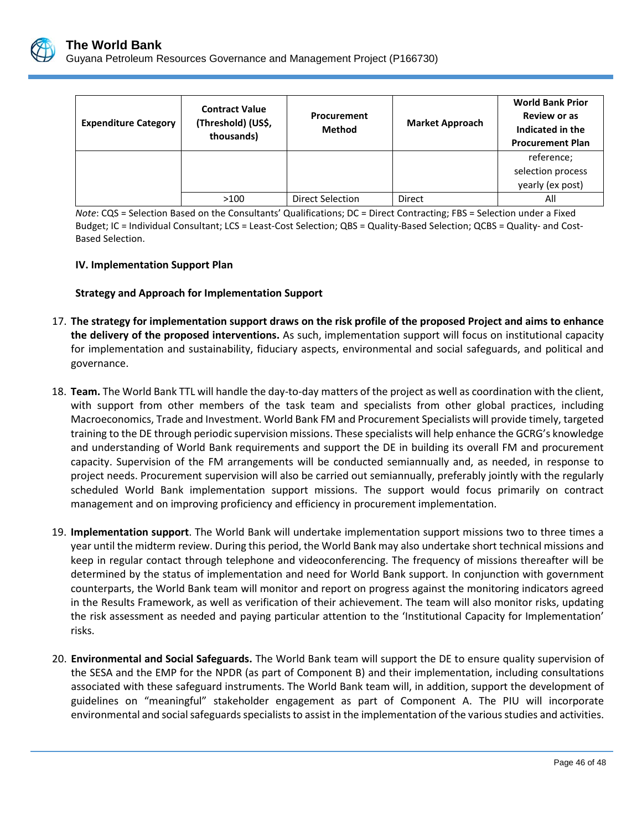

| <b>Expenditure Category</b> | <b>Contract Value</b><br>(Threshold) (US\$,<br>thousands) | <b>Procurement</b><br><b>Method</b> | <b>Market Approach</b> | <b>World Bank Prior</b><br><b>Review or as</b><br>Indicated in the<br><b>Procurement Plan</b> |
|-----------------------------|-----------------------------------------------------------|-------------------------------------|------------------------|-----------------------------------------------------------------------------------------------|
|                             |                                                           |                                     |                        | reference;                                                                                    |
|                             |                                                           |                                     |                        | selection process                                                                             |
|                             |                                                           |                                     |                        | yearly (ex post)                                                                              |
|                             | >100                                                      | Direct Selection                    | Direct                 | All                                                                                           |

*Note*: CQS = Selection Based on the Consultants' Qualifications; DC = Direct Contracting; FBS = Selection under a Fixed Budget; IC = Individual Consultant; LCS = Least-Cost Selection; QBS = Quality-Based Selection; QCBS = Quality- and Cost-Based Selection.

## **IV. Implementation Support Plan**

## **Strategy and Approach for Implementation Support**

- 17. **The strategy for implementation support draws on the risk profile of the proposed Project and aims to enhance the delivery of the proposed interventions.** As such, implementation support will focus on institutional capacity for implementation and sustainability, fiduciary aspects, environmental and social safeguards, and political and governance.
- 18. **Team.** The World Bank TTL will handle the day-to-day matters of the project as well as coordination with the client, with support from other members of the task team and specialists from other global practices, including Macroeconomics, Trade and Investment. World Bank FM and Procurement Specialists will provide timely, targeted training to the DE through periodic supervision missions. These specialists will help enhance the GCRG's knowledge and understanding of World Bank requirements and support the DE in building its overall FM and procurement capacity. Supervision of the FM arrangements will be conducted semiannually and, as needed, in response to project needs. Procurement supervision will also be carried out semiannually, preferably jointly with the regularly scheduled World Bank implementation support missions. The support would focus primarily on contract management and on improving proficiency and efficiency in procurement implementation.
- 19. **Implementation support**. The World Bank will undertake implementation support missions two to three times a year until the midterm review. During this period, the World Bank may also undertake short technical missions and keep in regular contact through telephone and videoconferencing. The frequency of missions thereafter will be determined by the status of implementation and need for World Bank support. In conjunction with government counterparts, the World Bank team will monitor and report on progress against the monitoring indicators agreed in the Results Framework, as well as verification of their achievement. The team will also monitor risks, updating the risk assessment as needed and paying particular attention to the 'Institutional Capacity for Implementation' risks.
- 20. **Environmental and Social Safeguards.** The World Bank team will support the DE to ensure quality supervision of the SESA and the EMP for the NPDR (as part of Component B) and their implementation, including consultations associated with these safeguard instruments. The World Bank team will, in addition, support the development of guidelines on "meaningful" stakeholder engagement as part of Component A. The PIU will incorporate environmental and social safeguards specialists to assist in the implementation of the various studies and activities.